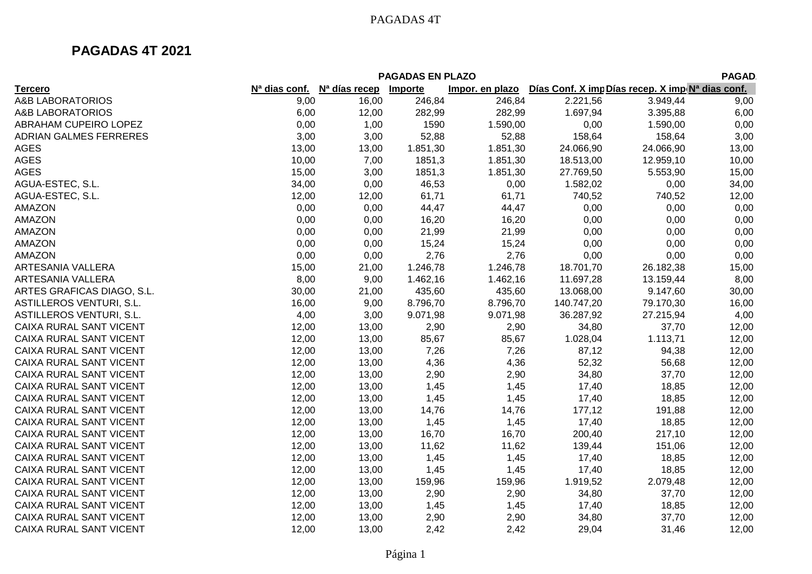|                                                                                                                                                              | <b>PAGADAS EN PLAZO</b><br><b>PAGAD</b> |  |  |  |  |  |  |  |  |
|--------------------------------------------------------------------------------------------------------------------------------------------------------------|-----------------------------------------|--|--|--|--|--|--|--|--|
| N <sup>a</sup> días recep<br>Días Conf. X imp Días recep. X imp N <sup>a</sup> dias conf.<br>Importe<br>Impor. en plazo<br><b>Tercero</b><br>$Na$ dias conf. |                                         |  |  |  |  |  |  |  |  |
| <b>A&amp;B LABORATORIOS</b><br>9,00<br>16,00<br>246,84<br>246,84<br>3.949,44<br>2.221,56                                                                     | 9,00                                    |  |  |  |  |  |  |  |  |
| <b>A&amp;B LABORATORIOS</b><br>6,00<br>282,99<br>282,99<br>1.697,94<br>3.395,88<br>12,00                                                                     | 6,00                                    |  |  |  |  |  |  |  |  |
| ABRAHAM CUPEIRO LOPEZ<br>0,00<br>1,00<br>1590<br>1.590,00<br>0,00<br>1.590,00                                                                                | 0,00                                    |  |  |  |  |  |  |  |  |
| ADRIAN GALMES FERRERES<br>3,00<br>3,00<br>52,88<br>52,88<br>158,64<br>158,64                                                                                 | 3,00                                    |  |  |  |  |  |  |  |  |
| 13,00<br>24.066,90<br><b>AGES</b><br>13,00<br>1.851,30<br>1.851,30<br>24.066,90                                                                              | 13,00                                   |  |  |  |  |  |  |  |  |
| <b>AGES</b><br>10,00<br>18.513,00<br>7,00<br>1851,3<br>1.851,30<br>12.959,10                                                                                 | 10,00                                   |  |  |  |  |  |  |  |  |
| <b>AGES</b><br>15,00<br>3,00<br>1851,3<br>1.851,30<br>27.769,50<br>5.553,90                                                                                  | 15,00                                   |  |  |  |  |  |  |  |  |
| 34,00<br>0,00<br>AGUA-ESTEC, S.L.<br>0,00<br>46,53<br>0,00<br>1.582,02                                                                                       | 34,00                                   |  |  |  |  |  |  |  |  |
| 61,71<br>61,71<br>740,52<br>AGUA-ESTEC, S.L.<br>12,00<br>12,00<br>740,52                                                                                     | 12,00                                   |  |  |  |  |  |  |  |  |
| 0,00<br>0,00<br>AMAZON<br>0,00<br>0,00<br>44,47<br>44,47                                                                                                     | 0,00                                    |  |  |  |  |  |  |  |  |
| AMAZON<br>0,00<br>0,00<br>0,00<br>16,20<br>16,20<br>0,00                                                                                                     | 0,00                                    |  |  |  |  |  |  |  |  |
| AMAZON<br>0,00<br>21,99<br>0,00<br>0,00<br>21,99<br>0,00                                                                                                     | 0,00                                    |  |  |  |  |  |  |  |  |
| AMAZON<br>0,00<br>15,24<br>0,00<br>0,00<br>0,00<br>15,24                                                                                                     | 0,00                                    |  |  |  |  |  |  |  |  |
| AMAZON<br>2,76<br>0,00<br>2,76<br>0,00<br>0,00<br>0,00                                                                                                       | 0,00                                    |  |  |  |  |  |  |  |  |
| ARTESANIA VALLERA<br>15,00<br>1.246,78<br>18.701,70<br>26.182,38<br>21,00<br>1.246,78                                                                        | 15,00                                   |  |  |  |  |  |  |  |  |
| 8,00<br>ARTESANIA VALLERA<br>9,00<br>1.462,16<br>1.462,16<br>11.697,28<br>13.159,44                                                                          | 8,00                                    |  |  |  |  |  |  |  |  |
| ARTES GRAFICAS DIAGO, S.L.<br>30,00<br>21,00<br>435,60<br>435,60<br>13.068,00<br>9.147,60                                                                    | 30,00                                   |  |  |  |  |  |  |  |  |
| ASTILLEROS VENTURI, S.L.<br>16,00<br>8.796,70<br>8.796,70<br>9,00<br>140.747,20<br>79.170,30                                                                 | 16,00                                   |  |  |  |  |  |  |  |  |
| 4,00<br>ASTILLEROS VENTURI, S.L.<br>3,00<br>9.071,98<br>9.071,98<br>36.287,92<br>27.215,94                                                                   | 4,00                                    |  |  |  |  |  |  |  |  |
| 2,90<br>34,80<br>37,70<br>CAIXA RURAL SANT VICENT<br>12,00<br>13,00<br>2,90                                                                                  | 12,00                                   |  |  |  |  |  |  |  |  |
| CAIXA RURAL SANT VICENT<br>12,00<br>1.113,71<br>13,00<br>85,67<br>85,67<br>1.028,04                                                                          | 12,00                                   |  |  |  |  |  |  |  |  |
| 7,26<br>CAIXA RURAL SANT VICENT<br>12,00<br>13,00<br>7,26<br>87,12<br>94,38                                                                                  | 12,00                                   |  |  |  |  |  |  |  |  |
| 4,36<br>52,32<br>CAIXA RURAL SANT VICENT<br>12,00<br>13,00<br>4,36<br>56,68                                                                                  | 12,00                                   |  |  |  |  |  |  |  |  |
| 34,80<br>CAIXA RURAL SANT VICENT<br>12,00<br>13,00<br>2,90<br>2,90<br>37,70                                                                                  | 12,00                                   |  |  |  |  |  |  |  |  |
| 1,45<br>CAIXA RURAL SANT VICENT<br>12,00<br>13,00<br>1,45<br>17,40<br>18,85                                                                                  | 12,00                                   |  |  |  |  |  |  |  |  |
| 1,45<br>17,40<br>CAIXA RURAL SANT VICENT<br>12,00<br>13,00<br>1,45<br>18,85                                                                                  | 12,00                                   |  |  |  |  |  |  |  |  |
| 14,76<br>CAIXA RURAL SANT VICENT<br>12,00<br>13,00<br>14,76<br>177,12<br>191,88                                                                              | 12,00                                   |  |  |  |  |  |  |  |  |
| CAIXA RURAL SANT VICENT<br>12,00<br>1,45<br>17,40<br>18,85<br>13,00<br>1,45                                                                                  | 12,00                                   |  |  |  |  |  |  |  |  |
| CAIXA RURAL SANT VICENT<br>12,00<br>16,70<br>200,40<br>217,10<br>13,00<br>16,70                                                                              | 12,00                                   |  |  |  |  |  |  |  |  |
| CAIXA RURAL SANT VICENT<br>12,00<br>11,62<br>13,00<br>11,62<br>139,44<br>151,06                                                                              | 12,00                                   |  |  |  |  |  |  |  |  |
| CAIXA RURAL SANT VICENT<br>12,00<br>1,45<br>1,45<br>17,40<br>18,85<br>13,00                                                                                  | 12,00                                   |  |  |  |  |  |  |  |  |
| CAIXA RURAL SANT VICENT<br>12,00<br>13,00<br>1,45<br>1,45<br>17,40<br>18,85                                                                                  | 12,00                                   |  |  |  |  |  |  |  |  |
| 12,00<br>CAIXA RURAL SANT VICENT<br>13,00<br>159,96<br>159,96<br>1.919,52<br>2.079,48                                                                        | 12,00                                   |  |  |  |  |  |  |  |  |
| 12,00<br>2,90<br>2,90<br>34,80<br>37,70<br>CAIXA RURAL SANT VICENT<br>13,00                                                                                  | 12,00                                   |  |  |  |  |  |  |  |  |
| CAIXA RURAL SANT VICENT<br>12,00<br>13,00<br>1,45<br>1,45<br>17,40<br>18,85                                                                                  | 12,00                                   |  |  |  |  |  |  |  |  |
| CAIXA RURAL SANT VICENT<br>12,00<br>13,00<br>2,90<br>2,90<br>34,80<br>37,70                                                                                  | 12,00                                   |  |  |  |  |  |  |  |  |
| 2,42<br>CAIXA RURAL SANT VICENT<br>12,00<br>13,00<br>2,42<br>29,04<br>31,46                                                                                  | 12,00                                   |  |  |  |  |  |  |  |  |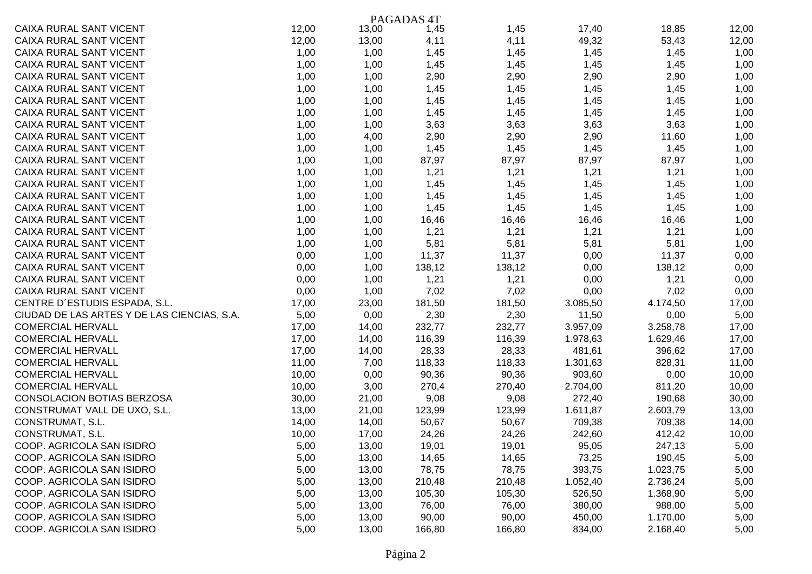|                                             |       |       | PAGADAS <sub>4T</sub> |        |          |          |       |
|---------------------------------------------|-------|-------|-----------------------|--------|----------|----------|-------|
| CAIXA RURAL SANT VICENT                     | 12,00 | 13,00 | 1,45                  | 1,45   | 17,40    | 18,85    | 12,00 |
| CAIXA RURAL SANT VICENT                     | 12,00 | 13,00 | 4,11                  | 4,11   | 49,32    | 53,43    | 12,00 |
| CAIXA RURAL SANT VICENT                     | 1,00  | 1,00  | 1,45                  | 1,45   | 1,45     | 1,45     | 1,00  |
| CAIXA RURAL SANT VICENT                     | 1,00  | 1,00  | 1,45                  | 1,45   | 1,45     | 1,45     | 1,00  |
| CAIXA RURAL SANT VICENT                     | 1,00  | 1,00  | 2,90                  | 2,90   | 2,90     | 2,90     | 1,00  |
| CAIXA RURAL SANT VICENT                     | 1,00  | 1,00  | 1,45                  | 1,45   | 1,45     | 1,45     | 1,00  |
| CAIXA RURAL SANT VICENT                     | 1,00  | 1,00  | 1,45                  | 1,45   | 1,45     | 1,45     | 1,00  |
| CAIXA RURAL SANT VICENT                     | 1,00  | 1,00  | 1,45                  | 1,45   | 1,45     | 1,45     | 1,00  |
| CAIXA RURAL SANT VICENT                     | 1,00  | 1,00  | 3,63                  | 3,63   | 3,63     | 3,63     | 1,00  |
| CAIXA RURAL SANT VICENT                     | 1,00  | 4,00  | 2,90                  | 2,90   | 2,90     | 11,60    | 1,00  |
| CAIXA RURAL SANT VICENT                     | 1,00  | 1,00  | 1,45                  | 1,45   | 1,45     | 1,45     | 1,00  |
| CAIXA RURAL SANT VICENT                     | 1,00  | 1,00  | 87,97                 | 87,97  | 87,97    | 87,97    | 1,00  |
| CAIXA RURAL SANT VICENT                     | 1,00  | 1,00  | 1,21                  | 1,21   | 1,21     | 1,21     | 1,00  |
| CAIXA RURAL SANT VICENT                     | 1,00  | 1,00  | 1,45                  | 1,45   | 1,45     | 1,45     | 1,00  |
| CAIXA RURAL SANT VICENT                     | 1,00  | 1,00  | 1,45                  | 1,45   | 1,45     | 1,45     | 1,00  |
| CAIXA RURAL SANT VICENT                     | 1,00  | 1,00  | 1,45                  | 1,45   | 1,45     | 1,45     | 1,00  |
| <b>CAIXA RURAL SANT VICENT</b>              | 1,00  | 1,00  | 16,46                 | 16,46  | 16,46    | 16,46    | 1,00  |
| CAIXA RURAL SANT VICENT                     | 1,00  | 1,00  | 1,21                  | 1,21   | 1,21     | 1,21     | 1,00  |
| CAIXA RURAL SANT VICENT                     | 1,00  | 1,00  | 5,81                  | 5,81   | 5,81     | 5,81     | 1,00  |
| CAIXA RURAL SANT VICENT                     | 0,00  | 1,00  | 11,37                 | 11,37  | 0,00     | 11,37    | 0,00  |
| CAIXA RURAL SANT VICENT                     | 0,00  | 1,00  | 138,12                | 138,12 | 0,00     | 138,12   | 0,00  |
| CAIXA RURAL SANT VICENT                     | 0,00  | 1,00  | 1,21                  | 1,21   | 0,00     | 1,21     | 0,00  |
| CAIXA RURAL SANT VICENT                     | 0,00  | 1,00  | 7,02                  | 7,02   | 0,00     | 7,02     | 0,00  |
| CENTRE D'ESTUDIS ESPADA, S.L.               | 17,00 | 23,00 | 181,50                | 181,50 | 3.085,50 | 4.174,50 | 17,00 |
| CIUDAD DE LAS ARTES Y DE LAS CIENCIAS, S.A. | 5,00  | 0,00  | 2,30                  | 2,30   | 11,50    | 0,00     | 5,00  |
| <b>COMERCIAL HERVALL</b>                    | 17,00 | 14,00 | 232,77                | 232,77 | 3.957,09 | 3.258,78 | 17,00 |
| <b>COMERCIAL HERVALL</b>                    | 17,00 | 14,00 | 116,39                | 116,39 | 1.978,63 | 1.629,46 | 17,00 |
| <b>COMERCIAL HERVALL</b>                    | 17,00 | 14,00 | 28,33                 | 28,33  | 481,61   | 396,62   | 17,00 |
| <b>COMERCIAL HERVALL</b>                    | 11,00 | 7,00  | 118,33                | 118,33 | 1.301,63 | 828,31   | 11,00 |
| <b>COMERCIAL HERVALL</b>                    | 10,00 | 0,00  | 90,36                 | 90,36  | 903,60   | 0,00     | 10,00 |
| <b>COMERCIAL HERVALL</b>                    | 10,00 | 3,00  | 270,4                 | 270,40 | 2.704,00 | 811,20   | 10,00 |
| CONSOLACION BOTIAS BERZOSA                  | 30,00 | 21,00 | 9,08                  | 9,08   | 272,40   | 190,68   | 30,00 |
| CONSTRUMAT VALL DE UXO, S.L.                | 13,00 | 21,00 | 123,99                | 123,99 | 1.611,87 | 2.603,79 | 13,00 |
| CONSTRUMAT, S.L.                            | 14,00 | 14,00 | 50,67                 | 50,67  | 709,38   | 709,38   | 14,00 |
| CONSTRUMAT, S.L.                            | 10,00 | 17,00 | 24,26                 | 24,26  | 242,60   | 412,42   | 10,00 |
| COOP. AGRICOLA SAN ISIDRO                   | 5,00  | 13,00 | 19,01                 | 19,01  | 95,05    | 247,13   | 5,00  |
| COOP. AGRICOLA SAN ISIDRO                   | 5,00  | 13,00 | 14,65                 | 14,65  | 73,25    | 190,45   | 5,00  |
| COOP. AGRICOLA SAN ISIDRO                   | 5,00  | 13,00 | 78,75                 | 78,75  | 393,75   | 1.023,75 | 5,00  |
| COOP. AGRICOLA SAN ISIDRO                   | 5,00  | 13,00 | 210,48                | 210,48 | 1.052,40 | 2.736,24 | 5,00  |
| COOP. AGRICOLA SAN ISIDRO                   | 5,00  | 13,00 | 105,30                | 105,30 | 526,50   | 1.368,90 | 5,00  |
| COOP. AGRICOLA SAN ISIDRO                   | 5,00  | 13,00 | 76,00                 | 76,00  | 380,00   | 988,00   | 5,00  |
| COOP. AGRICOLA SAN ISIDRO                   | 5,00  | 13,00 | 90,00                 | 90,00  | 450,00   | 1.170,00 | 5,00  |
| COOP. AGRICOLA SAN ISIDRO                   | 5,00  | 13,00 | 166,80                | 166,80 | 834,00   | 2.168,40 | 5,00  |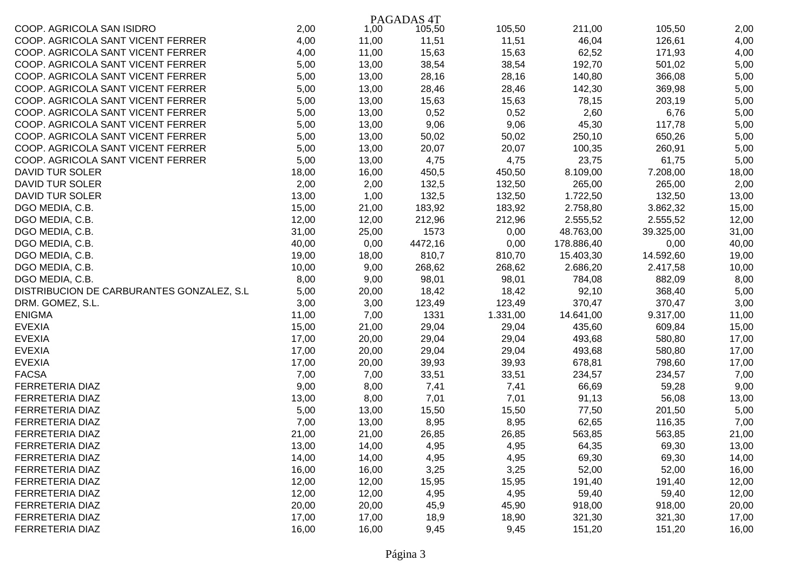|                                            |       |       | PAGADAS <sub>4T</sub> |          |            |           |       |
|--------------------------------------------|-------|-------|-----------------------|----------|------------|-----------|-------|
| COOP. AGRICOLA SAN ISIDRO                  | 2,00  | 1,00  | 105,50                | 105,50   | 211,00     | 105,50    | 2,00  |
| COOP. AGRICOLA SANT VICENT FERRER          | 4,00  | 11,00 | 11,51                 | 11,51    | 46,04      | 126,61    | 4,00  |
| COOP. AGRICOLA SANT VICENT FERRER          | 4,00  | 11,00 | 15,63                 | 15,63    | 62,52      | 171,93    | 4,00  |
| COOP. AGRICOLA SANT VICENT FERRER          | 5,00  | 13,00 | 38,54                 | 38,54    | 192,70     | 501,02    | 5,00  |
| COOP. AGRICOLA SANT VICENT FERRER          | 5,00  | 13,00 | 28,16                 | 28,16    | 140,80     | 366,08    | 5,00  |
| COOP. AGRICOLA SANT VICENT FERRER          | 5,00  | 13,00 | 28,46                 | 28,46    | 142,30     | 369,98    | 5,00  |
| COOP. AGRICOLA SANT VICENT FERRER          | 5,00  | 13,00 | 15,63                 | 15,63    | 78,15      | 203,19    | 5,00  |
| COOP. AGRICOLA SANT VICENT FERRER          | 5,00  | 13,00 | 0,52                  | 0,52     | 2,60       | 6,76      | 5,00  |
| COOP. AGRICOLA SANT VICENT FERRER          | 5,00  | 13,00 | 9,06                  | 9,06     | 45,30      | 117,78    | 5,00  |
| COOP. AGRICOLA SANT VICENT FERRER          | 5,00  | 13,00 | 50,02                 | 50,02    | 250,10     | 650,26    | 5,00  |
| COOP. AGRICOLA SANT VICENT FERRER          | 5,00  | 13,00 | 20,07                 | 20,07    | 100,35     | 260,91    | 5,00  |
| COOP. AGRICOLA SANT VICENT FERRER          | 5,00  | 13,00 | 4,75                  | 4,75     | 23,75      | 61,75     | 5,00  |
| DAVID TUR SOLER                            | 18,00 | 16,00 | 450,5                 | 450,50   | 8.109,00   | 7.208,00  | 18,00 |
| <b>DAVID TUR SOLER</b>                     | 2,00  | 2,00  | 132,5                 | 132,50   | 265,00     | 265,00    | 2,00  |
| DAVID TUR SOLER                            | 13,00 | 1,00  | 132,5                 | 132,50   | 1.722,50   | 132,50    | 13,00 |
| DGO MEDIA, C.B.                            | 15,00 | 21,00 | 183,92                | 183,92   | 2.758,80   | 3.862,32  | 15,00 |
| DGO MEDIA, C.B.                            | 12,00 | 12,00 | 212,96                | 212,96   | 2.555,52   | 2.555,52  | 12,00 |
| DGO MEDIA, C.B.                            | 31,00 | 25,00 | 1573                  | 0,00     | 48.763,00  | 39.325,00 | 31,00 |
| DGO MEDIA, C.B.                            | 40,00 | 0,00  | 4472,16               | 0,00     | 178.886,40 | 0,00      | 40,00 |
| DGO MEDIA, C.B.                            | 19,00 | 18,00 | 810,7                 | 810,70   | 15.403,30  | 14.592,60 | 19,00 |
| DGO MEDIA, C.B.                            | 10,00 | 9,00  | 268,62                | 268,62   | 2.686,20   | 2.417,58  | 10,00 |
| DGO MEDIA, C.B.                            | 8,00  | 9,00  | 98,01                 | 98,01    | 784,08     | 882,09    | 8,00  |
| DISTRIBUCION DE CARBURANTES GONZALEZ, S.L. | 5,00  | 20,00 | 18,42                 | 18,42    | 92,10      | 368,40    | 5,00  |
| DRM. GOMEZ, S.L.                           | 3,00  | 3,00  | 123,49                | 123,49   | 370,47     | 370,47    | 3,00  |
| <b>ENIGMA</b>                              | 11,00 | 7,00  | 1331                  | 1.331,00 | 14.641,00  | 9.317,00  | 11,00 |
| <b>EVEXIA</b>                              | 15,00 | 21,00 | 29,04                 | 29,04    | 435,60     | 609,84    | 15,00 |
| <b>EVEXIA</b>                              | 17,00 | 20,00 | 29,04                 | 29,04    | 493,68     | 580,80    | 17,00 |
| <b>EVEXIA</b>                              | 17,00 | 20,00 | 29,04                 | 29,04    | 493,68     | 580,80    | 17,00 |
| <b>EVEXIA</b>                              | 17,00 | 20,00 | 39,93                 | 39,93    | 678,81     | 798,60    | 17,00 |
| <b>FACSA</b>                               | 7,00  | 7,00  | 33,51                 | 33,51    | 234,57     | 234,57    | 7,00  |
| FERRETERIA DIAZ                            | 9,00  | 8,00  | 7,41                  | 7,41     | 66,69      | 59,28     | 9,00  |
| FERRETERIA DIAZ                            | 13,00 | 8,00  | 7,01                  | 7,01     | 91,13      | 56,08     | 13,00 |
| FERRETERIA DIAZ                            | 5,00  | 13,00 | 15,50                 | 15,50    | 77,50      | 201,50    | 5,00  |
| FERRETERIA DIAZ                            | 7,00  | 13,00 | 8,95                  | 8,95     | 62,65      | 116,35    | 7,00  |
| FERRETERIA DIAZ                            | 21,00 | 21,00 | 26,85                 | 26,85    | 563,85     | 563,85    | 21,00 |
| FERRETERIA DIAZ                            | 13,00 | 14,00 | 4,95                  | 4,95     | 64,35      | 69,30     | 13,00 |
| FERRETERIA DIAZ                            | 14,00 | 14,00 | 4,95                  | 4,95     | 69,30      | 69,30     | 14,00 |
| <b>FERRETERIA DIAZ</b>                     | 16,00 | 16,00 | 3,25                  | 3,25     | 52,00      | 52,00     | 16,00 |
| <b>FERRETERIA DIAZ</b>                     | 12,00 | 12,00 | 15,95                 | 15,95    | 191,40     | 191,40    | 12,00 |
| FERRETERIA DIAZ                            | 12,00 | 12,00 | 4,95                  | 4,95     | 59,40      | 59,40     | 12,00 |
| FERRETERIA DIAZ                            | 20,00 | 20,00 | 45,9                  | 45,90    | 918,00     | 918,00    | 20,00 |
| FERRETERIA DIAZ                            | 17,00 | 17,00 | 18,9                  | 18,90    | 321,30     | 321,30    | 17,00 |
| FERRETERIA DIAZ                            | 16,00 | 16,00 | 9,45                  | 9,45     | 151,20     | 151,20    | 16,00 |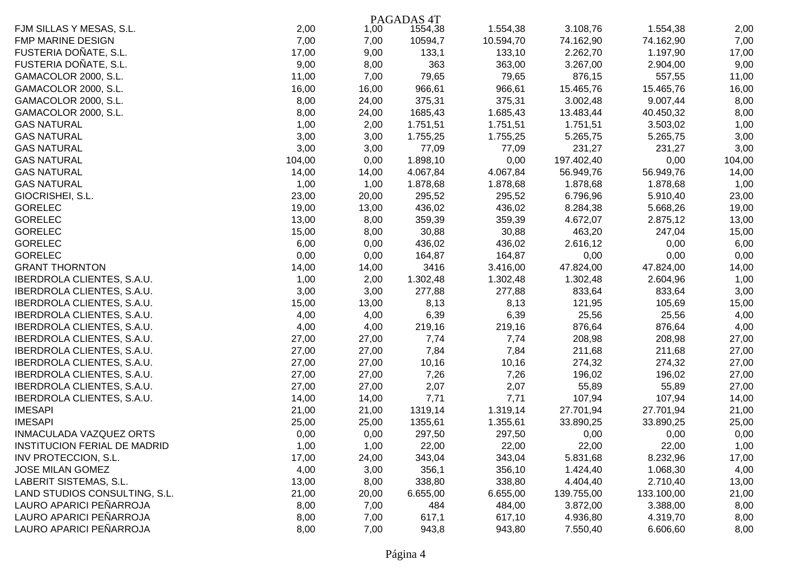|                               |        |       | PAGADAS <sub>4T</sub> |           |            |            |        |
|-------------------------------|--------|-------|-----------------------|-----------|------------|------------|--------|
| FJM SILLAS Y MESAS, S.L.      | 2,00   | 1,00  | 1554,38               | 1.554,38  | 3.108,76   | 1.554,38   | 2,00   |
| <b>FMP MARINE DESIGN</b>      | 7,00   | 7,00  | 10594,7               | 10.594,70 | 74.162,90  | 74.162,90  | 7,00   |
| FUSTERIA DOÑATE, S.L.         | 17,00  | 9,00  | 133,1                 | 133,10    | 2.262,70   | 1.197,90   | 17,00  |
| FUSTERIA DOÑATE, S.L.         | 9,00   | 8,00  | 363                   | 363,00    | 3.267,00   | 2.904,00   | 9,00   |
| GAMACOLOR 2000, S.L.          | 11,00  | 7,00  | 79,65                 | 79,65     | 876,15     | 557,55     | 11,00  |
| GAMACOLOR 2000, S.L.          | 16,00  | 16,00 | 966,61                | 966,61    | 15.465,76  | 15.465,76  | 16,00  |
| GAMACOLOR 2000, S.L.          | 8,00   | 24,00 | 375,31                | 375,31    | 3.002,48   | 9.007,44   | 8,00   |
| GAMACOLOR 2000, S.L.          | 8,00   | 24,00 | 1685,43               | 1.685,43  | 13.483,44  | 40.450,32  | 8,00   |
| <b>GAS NATURAL</b>            | 1,00   | 2,00  | 1.751,51              | 1.751,51  | 1.751,51   | 3.503,02   | 1,00   |
| <b>GAS NATURAL</b>            | 3,00   | 3,00  | 1.755,25              | 1.755,25  | 5.265,75   | 5.265,75   | 3,00   |
| <b>GAS NATURAL</b>            | 3,00   | 3,00  | 77,09                 | 77,09     | 231,27     | 231,27     | 3,00   |
| <b>GAS NATURAL</b>            | 104,00 | 0,00  | 1.898,10              | 0,00      | 197.402,40 | 0,00       | 104,00 |
| <b>GAS NATURAL</b>            | 14,00  | 14,00 | 4.067,84              | 4.067,84  | 56.949,76  | 56.949,76  | 14,00  |
| <b>GAS NATURAL</b>            | 1,00   | 1,00  | 1.878,68              | 1.878,68  | 1.878,68   | 1.878,68   | 1,00   |
| GIOCRISHEI, S.L.              | 23,00  | 20,00 | 295,52                | 295,52    | 6.796,96   | 5.910,40   | 23,00  |
| <b>GORELEC</b>                | 19,00  | 13,00 | 436,02                | 436,02    | 8.284,38   | 5.668,26   | 19,00  |
| <b>GORELEC</b>                | 13,00  | 8,00  | 359,39                | 359,39    | 4.672,07   | 2.875,12   | 13,00  |
| <b>GORELEC</b>                | 15,00  | 8,00  | 30,88                 | 30,88     | 463,20     | 247,04     | 15,00  |
| <b>GORELEC</b>                | 6,00   | 0,00  | 436,02                | 436,02    | 2.616,12   | 0,00       | 6,00   |
| <b>GORELEC</b>                | 0,00   | 0,00  | 164,87                | 164,87    | 0,00       | 0,00       | 0,00   |
| <b>GRANT THORNTON</b>         | 14,00  | 14,00 | 3416                  | 3.416,00  | 47.824,00  | 47.824,00  | 14,00  |
| IBERDROLA CLIENTES, S.A.U.    | 1,00   | 2,00  | 1.302,48              | 1.302,48  | 1.302,48   | 2.604,96   | 1,00   |
| IBERDROLA CLIENTES, S.A.U.    | 3,00   | 3,00  | 277,88                | 277,88    | 833,64     | 833,64     | 3,00   |
| IBERDROLA CLIENTES, S.A.U.    | 15,00  | 13,00 | 8,13                  | 8,13      | 121,95     | 105,69     | 15,00  |
| IBERDROLA CLIENTES, S.A.U.    | 4,00   | 4,00  | 6,39                  | 6,39      | 25,56      | 25,56      | 4,00   |
| IBERDROLA CLIENTES, S.A.U.    | 4,00   | 4,00  | 219,16                | 219,16    | 876,64     | 876,64     | 4,00   |
| IBERDROLA CLIENTES, S.A.U.    | 27,00  | 27,00 | 7,74                  | 7,74      | 208,98     | 208,98     | 27,00  |
| IBERDROLA CLIENTES, S.A.U.    | 27,00  | 27,00 | 7,84                  | 7,84      | 211,68     | 211,68     | 27,00  |
| IBERDROLA CLIENTES, S.A.U.    | 27,00  | 27,00 | 10,16                 | 10,16     | 274,32     | 274,32     | 27,00  |
| IBERDROLA CLIENTES, S.A.U.    | 27,00  | 27,00 | 7,26                  | 7,26      | 196,02     | 196,02     | 27,00  |
| IBERDROLA CLIENTES, S.A.U.    | 27,00  | 27,00 | 2,07                  | 2,07      | 55,89      | 55,89      | 27,00  |
| IBERDROLA CLIENTES, S.A.U.    | 14,00  | 14,00 | 7,71                  | 7,71      | 107,94     | 107,94     | 14,00  |
| <b>IMESAPI</b>                | 21,00  | 21,00 | 1319,14               | 1.319,14  | 27.701,94  | 27.701,94  | 21,00  |
| <b>IMESAPI</b>                | 25,00  | 25,00 | 1355,61               | 1.355,61  | 33.890,25  | 33.890,25  | 25,00  |
| INMACULADA VAZQUEZ ORTS       | 0,00   | 0,00  | 297,50                | 297,50    | 0,00       | 0,00       | 0,00   |
| INSTITUCION FERIAL DE MADRID  | 1,00   | 1,00  | 22,00                 | 22,00     | 22,00      | 22,00      | 1,00   |
| INV PROTECCION, S.L.          | 17,00  | 24,00 | 343,04                | 343,04    | 5.831,68   | 8.232,96   | 17,00  |
| <b>JOSE MILAN GOMEZ</b>       | 4,00   | 3,00  | 356,1                 | 356,10    | 1.424,40   | 1.068,30   | 4,00   |
| LABERIT SISTEMAS, S.L.        | 13,00  | 8,00  | 338,80                | 338,80    | 4.404,40   | 2.710,40   | 13,00  |
| LAND STUDIOS CONSULTING, S.L. | 21,00  | 20,00 | 6.655,00              | 6.655,00  | 139.755,00 | 133.100,00 | 21,00  |
| LAURO APARICI PEÑARROJA       | 8,00   | 7,00  | 484                   | 484,00    | 3.872,00   | 3.388,00   | 8,00   |
| LAURO APARICI PEÑARROJA       | 8,00   | 7,00  | 617,1                 | 617,10    | 4.936,80   | 4.319,70   | 8,00   |
| LAURO APARICI PEÑARROJA       | 8,00   | 7,00  | 943,8                 | 943,80    | 7.550,40   | 6.606,60   | 8,00   |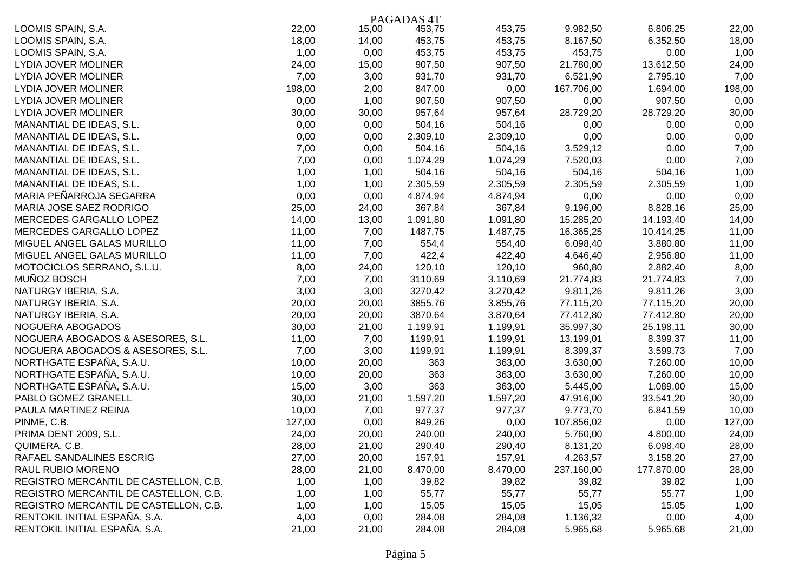|                                       |        |       | PAGADAS <sub>4T</sub> |          |            |            |        |
|---------------------------------------|--------|-------|-----------------------|----------|------------|------------|--------|
| LOOMIS SPAIN, S.A.                    | 22,00  | 15,00 | 453,75                | 453,75   | 9.982,50   | 6.806,25   | 22,00  |
| LOOMIS SPAIN, S.A.                    | 18,00  | 14,00 | 453,75                | 453,75   | 8.167,50   | 6.352,50   | 18,00  |
| LOOMIS SPAIN, S.A.                    | 1,00   | 0,00  | 453,75                | 453,75   | 453,75     | 0,00       | 1,00   |
| LYDIA JOVER MOLINER                   | 24,00  | 15,00 | 907,50                | 907,50   | 21.780,00  | 13.612,50  | 24,00  |
| LYDIA JOVER MOLINER                   | 7,00   | 3,00  | 931,70                | 931,70   | 6.521,90   | 2.795,10   | 7,00   |
| <b>LYDIA JOVER MOLINER</b>            | 198,00 | 2,00  | 847,00                | 0,00     | 167.706,00 | 1.694,00   | 198,00 |
| <b>LYDIA JOVER MOLINER</b>            | 0,00   | 1,00  | 907,50                | 907,50   | 0,00       | 907,50     | 0,00   |
| LYDIA JOVER MOLINER                   | 30,00  | 30,00 | 957,64                | 957,64   | 28.729,20  | 28.729,20  | 30,00  |
| MANANTIAL DE IDEAS, S.L.              | 0,00   | 0,00  | 504,16                | 504,16   | 0,00       | 0,00       | 0,00   |
| MANANTIAL DE IDEAS, S.L.              | 0,00   | 0,00  | 2.309,10              | 2.309,10 | 0,00       | 0,00       | 0,00   |
| MANANTIAL DE IDEAS, S.L.              | 7,00   | 0,00  | 504,16                | 504,16   | 3.529,12   | 0,00       | 7,00   |
| MANANTIAL DE IDEAS, S.L.              | 7,00   | 0,00  | 1.074,29              | 1.074,29 | 7.520,03   | 0,00       | 7,00   |
| MANANTIAL DE IDEAS, S.L.              | 1,00   | 1,00  | 504,16                | 504,16   | 504,16     | 504,16     | 1,00   |
| MANANTIAL DE IDEAS, S.L.              | 1,00   | 1,00  | 2.305,59              | 2.305,59 | 2.305,59   | 2.305,59   | 1,00   |
| MARIA PEÑARROJA SEGARRA               | 0,00   | 0,00  | 4.874,94              | 4.874,94 | 0,00       | 0,00       | 0,00   |
| MARIA JOSE SAEZ RODRIGO               | 25,00  | 24,00 | 367,84                | 367,84   | 9.196,00   | 8.828,16   | 25,00  |
| MERCEDES GARGALLO LOPEZ               | 14,00  | 13,00 | 1.091,80              | 1.091,80 | 15.285,20  | 14.193,40  | 14,00  |
| MERCEDES GARGALLO LOPEZ               | 11,00  | 7,00  | 1487,75               | 1.487,75 | 16.365,25  | 10.414,25  | 11,00  |
| MIGUEL ANGEL GALAS MURILLO            | 11,00  | 7,00  | 554,4                 | 554,40   | 6.098,40   | 3.880,80   | 11,00  |
| MIGUEL ANGEL GALAS MURILLO            | 11,00  | 7,00  | 422,4                 | 422,40   | 4.646,40   | 2.956,80   | 11,00  |
| MOTOCICLOS SERRANO, S.L.U.            | 8,00   | 24,00 | 120,10                | 120,10   | 960,80     | 2.882,40   | 8,00   |
| MUÑOZ BOSCH                           | 7,00   | 7,00  | 3110,69               | 3.110,69 | 21.774,83  | 21.774,83  | 7,00   |
| NATURGY IBERIA, S.A.                  | 3,00   | 3,00  | 3270,42               | 3.270,42 | 9.811,26   | 9.811,26   | 3,00   |
| NATURGY IBERIA, S.A.                  | 20,00  | 20,00 | 3855,76               | 3.855,76 | 77.115,20  | 77.115,20  | 20,00  |
| NATURGY IBERIA, S.A.                  | 20,00  | 20,00 | 3870,64               | 3.870,64 | 77.412,80  | 77.412,80  | 20,00  |
| NOGUERA ABOGADOS                      | 30,00  | 21,00 | 1.199,91              | 1.199,91 | 35.997,30  | 25.198,11  | 30,00  |
| NOGUERA ABOGADOS & ASESORES, S.L.     | 11,00  | 7,00  | 1199,91               | 1.199,91 | 13.199,01  | 8.399,37   | 11,00  |
| NOGUERA ABOGADOS & ASESORES, S.L.     | 7,00   | 3,00  | 1199,91               | 1.199,91 | 8.399,37   | 3.599,73   | 7,00   |
| NORTHGATE ESPAÑA, S.A.U.              | 10,00  | 20,00 | 363                   | 363,00   | 3.630,00   | 7.260,00   | 10,00  |
| NORTHGATE ESPAÑA, S.A.U.              | 10,00  | 20,00 | 363                   | 363,00   | 3.630,00   | 7.260,00   | 10,00  |
| NORTHGATE ESPAÑA, S.A.U.              | 15,00  | 3,00  | 363                   | 363,00   | 5.445,00   | 1.089,00   | 15,00  |
| PABLO GOMEZ GRANELL                   | 30,00  | 21,00 | 1.597,20              | 1.597,20 | 47.916,00  | 33.541,20  | 30,00  |
| PAULA MARTINEZ REINA                  | 10,00  | 7,00  | 977,37                | 977,37   | 9.773,70   | 6.841,59   | 10,00  |
| PINME, C.B.                           | 127,00 | 0,00  | 849,26                | 0,00     | 107.856,02 | 0,00       | 127,00 |
| PRIMA DENT 2009, S.L.                 | 24,00  | 20,00 | 240,00                | 240,00   | 5.760,00   | 4.800,00   | 24,00  |
| QUIMERA, C.B.                         | 28,00  | 21,00 | 290,40                | 290,40   | 8.131,20   | 6.098,40   | 28,00  |
| RAFAEL SANDALINES ESCRIG              | 27,00  | 20,00 | 157,91                | 157,91   | 4.263,57   | 3.158,20   | 27,00  |
| RAUL RUBIO MORENO                     | 28,00  | 21,00 | 8.470,00              | 8.470,00 | 237.160,00 | 177.870,00 | 28,00  |
| REGISTRO MERCANTIL DE CASTELLON, C.B. | 1,00   | 1,00  | 39,82                 | 39,82    | 39,82      | 39,82      | 1,00   |
| REGISTRO MERCANTIL DE CASTELLON, C.B. | 1,00   | 1,00  | 55,77                 | 55,77    | 55,77      | 55,77      | 1,00   |
| REGISTRO MERCANTIL DE CASTELLON, C.B. | 1,00   | 1,00  | 15,05                 | 15,05    | 15,05      | 15,05      | 1,00   |
| RENTOKIL INITIAL ESPAÑA, S.A.         | 4,00   | 0,00  | 284,08                | 284,08   | 1.136,32   | 0,00       | 4,00   |
| RENTOKIL INITIAL ESPAÑA, S.A.         | 21,00  | 21,00 | 284,08                | 284,08   | 5.965,68   | 5.965,68   | 21,00  |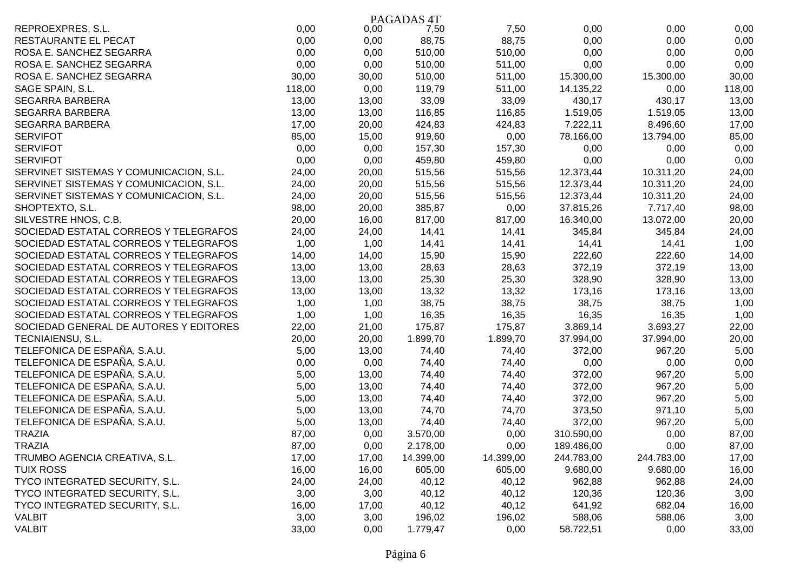|                                        |        |       | PAGADAS <sub>4T</sub> |           |            |            |        |
|----------------------------------------|--------|-------|-----------------------|-----------|------------|------------|--------|
| REPROEXPRES, S.L.                      | 0,00   | 0,00  | 7,50                  | 7,50      | 0,00       | 0,00       | 0,00   |
| RESTAURANTE EL PECAT                   | 0,00   | 0,00  | 88,75                 | 88,75     | 0,00       | 0,00       | 0,00   |
| ROSA E. SANCHEZ SEGARRA                | 0,00   | 0,00  | 510,00                | 510,00    | 0,00       | 0,00       | 0,00   |
| ROSA E. SANCHEZ SEGARRA                | 0,00   | 0,00  | 510,00                | 511,00    | 0,00       | 0,00       | 0,00   |
| ROSA E. SANCHEZ SEGARRA                | 30,00  | 30,00 | 510,00                | 511,00    | 15.300,00  | 15.300,00  | 30,00  |
| SAGE SPAIN, S.L.                       | 118,00 | 0,00  | 119,79                | 511,00    | 14.135,22  | 0,00       | 118,00 |
| SEGARRA BARBERA                        | 13,00  | 13,00 | 33,09                 | 33,09     | 430,17     | 430,17     | 13,00  |
| SEGARRA BARBERA                        | 13,00  | 13,00 | 116,85                | 116,85    | 1.519,05   | 1.519,05   | 13,00  |
| SEGARRA BARBERA                        | 17,00  | 20,00 | 424,83                | 424,83    | 7.222,11   | 8.496,60   | 17,00  |
| <b>SERVIFOT</b>                        | 85,00  | 15,00 | 919,60                | 0,00      | 78.166,00  | 13.794,00  | 85,00  |
| <b>SERVIFOT</b>                        | 0,00   | 0,00  | 157,30                | 157,30    | 0,00       | 0,00       | 0,00   |
| <b>SERVIFOT</b>                        | 0,00   | 0,00  | 459,80                | 459,80    | 0,00       | 0,00       | 0,00   |
| SERVINET SISTEMAS Y COMUNICACION, S.L. | 24,00  | 20,00 | 515,56                | 515,56    | 12.373,44  | 10.311,20  | 24,00  |
| SERVINET SISTEMAS Y COMUNICACION, S.L. | 24,00  | 20,00 | 515,56                | 515,56    | 12.373,44  | 10.311,20  | 24,00  |
| SERVINET SISTEMAS Y COMUNICACION, S.L. | 24,00  | 20,00 | 515,56                | 515,56    | 12.373,44  | 10.311,20  | 24,00  |
| SHOPTEXTO, S.L.                        | 98,00  | 20,00 | 385,87                | 0,00      | 37.815,26  | 7.717,40   | 98,00  |
| SILVESTRE HNOS, C.B.                   | 20,00  | 16,00 | 817,00                | 817,00    | 16.340,00  | 13.072,00  | 20,00  |
| SOCIEDAD ESTATAL CORREOS Y TELEGRAFOS  | 24,00  | 24,00 | 14,41                 | 14,41     | 345,84     | 345,84     | 24,00  |
| SOCIEDAD ESTATAL CORREOS Y TELEGRAFOS  | 1,00   | 1,00  | 14,41                 | 14,41     | 14,41      | 14,41      | 1,00   |
| SOCIEDAD ESTATAL CORREOS Y TELEGRAFOS  | 14,00  | 14,00 | 15,90                 | 15,90     | 222,60     | 222,60     | 14,00  |
| SOCIEDAD ESTATAL CORREOS Y TELEGRAFOS  | 13,00  | 13,00 | 28,63                 | 28,63     | 372,19     | 372,19     | 13,00  |
| SOCIEDAD ESTATAL CORREOS Y TELEGRAFOS  | 13,00  | 13,00 | 25,30                 | 25,30     | 328,90     | 328,90     | 13,00  |
| SOCIEDAD ESTATAL CORREOS Y TELEGRAFOS  | 13,00  | 13,00 | 13,32                 | 13,32     | 173,16     | 173,16     | 13,00  |
| SOCIEDAD ESTATAL CORREOS Y TELEGRAFOS  | 1,00   | 1,00  | 38,75                 | 38,75     | 38,75      | 38,75      | 1,00   |
| SOCIEDAD ESTATAL CORREOS Y TELEGRAFOS  | 1,00   | 1,00  | 16,35                 | 16,35     | 16,35      | 16,35      | 1,00   |
| SOCIEDAD GENERAL DE AUTORES Y EDITORES | 22,00  | 21,00 | 175,87                | 175,87    | 3.869,14   | 3.693,27   | 22,00  |
| TECNIAIENSU, S.L.                      | 20,00  | 20,00 | 1.899,70              | 1.899,70  | 37.994,00  | 37.994,00  | 20,00  |
| TELEFONICA DE ESPAÑA, S.A.U.           | 5,00   | 13,00 | 74,40                 | 74,40     | 372,00     | 967,20     | 5,00   |
| TELEFONICA DE ESPAÑA, S.A.U.           | 0,00   | 0,00  | 74,40                 | 74,40     | 0,00       | 0,00       | 0,00   |
| TELEFONICA DE ESPAÑA, S.A.U.           | 5,00   | 13,00 | 74,40                 | 74,40     | 372,00     | 967,20     | 5,00   |
| TELEFONICA DE ESPAÑA, S.A.U.           | 5,00   | 13,00 | 74,40                 | 74,40     | 372,00     | 967,20     | 5,00   |
| TELEFONICA DE ESPAÑA, S.A.U.           | 5,00   | 13,00 | 74,40                 | 74,40     | 372,00     | 967,20     | 5,00   |
| TELEFONICA DE ESPAÑA, S.A.U.           | 5,00   | 13,00 | 74,70                 | 74,70     | 373,50     | 971,10     | 5,00   |
| TELEFONICA DE ESPAÑA, S.A.U.           | 5,00   | 13,00 | 74,40                 | 74,40     | 372,00     | 967,20     | 5,00   |
| <b>TRAZIA</b>                          | 87,00  | 0,00  | 3.570,00              | 0,00      | 310.590,00 | 0,00       | 87,00  |
| <b>TRAZIA</b>                          | 87,00  | 0,00  | 2.178,00              | 0,00      | 189.486,00 | 0,00       | 87,00  |
| TRUMBO AGENCIA CREATIVA, S.L.          | 17,00  | 17,00 | 14.399,00             | 14.399,00 | 244.783,00 | 244.783,00 | 17,00  |
| <b>TUIX ROSS</b>                       | 16,00  | 16,00 | 605,00                | 605,00    | 9.680,00   | 9.680,00   | 16,00  |
| TYCO INTEGRATED SECURITY, S.L.         | 24,00  | 24,00 | 40,12                 | 40,12     | 962,88     | 962,88     | 24,00  |
| TYCO INTEGRATED SECURITY, S.L.         | 3,00   | 3,00  | 40,12                 | 40,12     | 120,36     | 120,36     | 3,00   |
| TYCO INTEGRATED SECURITY, S.L.         | 16,00  | 17,00 | 40,12                 | 40,12     | 641,92     | 682,04     | 16,00  |
| VALBIT                                 | 3,00   | 3,00  | 196,02                | 196,02    | 588,06     | 588,06     | 3,00   |
| <b>VALBIT</b>                          | 33,00  | 0,00  | 1.779,47              | 0,00      | 58.722,51  | 0,00       | 33,00  |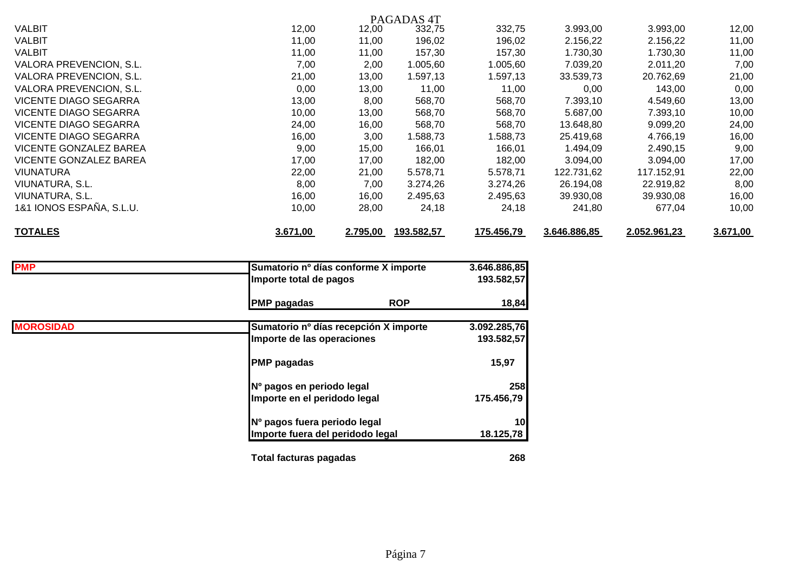| PAGADAS <sub>4T</sub>         |          |          |            |            |              |              |          |  |  |  |
|-------------------------------|----------|----------|------------|------------|--------------|--------------|----------|--|--|--|
| <b>VALBIT</b>                 | 12,00    | 12,00    | 332,75     | 332,75     | 3.993,00     | 3.993,00     | 12,00    |  |  |  |
| <b>VALBIT</b>                 | 11,00    | 11,00    | 196,02     | 196,02     | 2.156,22     | 2.156,22     | 11,00    |  |  |  |
| VALBIT                        | 11,00    | 11,00    | 157,30     | 157,30     | 1.730,30     | 1.730,30     | 11,00    |  |  |  |
| VALORA PREVENCION, S.L.       | 7,00     | 2,00     | 1.005,60   | 1.005,60   | 7.039,20     | 2.011,20     | 7,00     |  |  |  |
| VALORA PREVENCION, S.L.       | 21,00    | 13,00    | 1.597,13   | 1.597,13   | 33.539,73    | 20.762,69    | 21,00    |  |  |  |
| VALORA PREVENCION, S.L.       | 0,00     | 13,00    | 11,00      | 11,00      | 0,00         | 143,00       | 0,00     |  |  |  |
| VICENTE DIAGO SEGARRA         | 13,00    | 8,00     | 568,70     | 568,70     | 7.393,10     | 4.549,60     | 13,00    |  |  |  |
| VICENTE DIAGO SEGARRA         | 10,00    | 13,00    | 568,70     | 568,70     | 5.687,00     | 7.393,10     | 10,00    |  |  |  |
| <b>VICENTE DIAGO SEGARRA</b>  | 24,00    | 16,00    | 568,70     | 568,70     | 13.648,80    | 9.099,20     | 24,00    |  |  |  |
| VICENTE DIAGO SEGARRA         | 16,00    | 3,00     | .588,73    | .588,73    | 25.419,68    | 4.766,19     | 16,00    |  |  |  |
| <b>VICENTE GONZALEZ BAREA</b> | 9,00     | 15,00    | 166,01     | 166,01     | 1.494,09     | 2.490,15     | 9,00     |  |  |  |
| VICENTE GONZALEZ BAREA        | 17,00    | 17,00    | 182,00     | 182,00     | 3.094,00     | 3.094,00     | 17,00    |  |  |  |
| VIUNATURA                     | 22,00    | 21,00    | 5.578,71   | 5.578,71   | 122.731,62   | 117.152,91   | 22,00    |  |  |  |
| VIUNATURA, S.L.               | 8,00     | 7,00     | 3.274,26   | 3.274,26   | 26.194,08    | 22.919,82    | 8,00     |  |  |  |
| VIUNATURA, S.L.               | 16,00    | 16,00    | 2.495,63   | 2.495,63   | 39.930,08    | 39.930,08    | 16,00    |  |  |  |
| 1&1 IONOS ESPAÑA, S.L.U.      | 10,00    | 28,00    | 24,18      | 24,18      | 241,80       | 677,04       | 10,00    |  |  |  |
| <b>TOTALES</b>                | 3.671,00 | 2.795,00 | 193.582,57 | 175.456,79 | 3.646.886,85 | 2.052.961,23 | 3.671,00 |  |  |  |

| <b>PMP</b>       | Sumatorio nº días conforme X importe  | 3.646.886,85 |
|------------------|---------------------------------------|--------------|
|                  | Importe total de pagos                | 193.582,57   |
|                  | <b>ROP</b><br><b>PMP</b> pagadas      | 18,84        |
| <b>MOROSIDAD</b> | Sumatorio nº días recepción X importe | 3.092.285,76 |
|                  | Importe de las operaciones            | 193.582,57   |
|                  | <b>PMP</b> pagadas                    | 15,97        |
|                  | Nº pagos en periodo legal             | 258          |
|                  | Importe en el peridodo legal          | 175.456,79   |
|                  | Nº pagos fuera periodo legal          | 10           |
|                  | Importe fuera del peridodo legal      | 18.125,78    |
|                  | <b>Total facturas pagadas</b>         | 268          |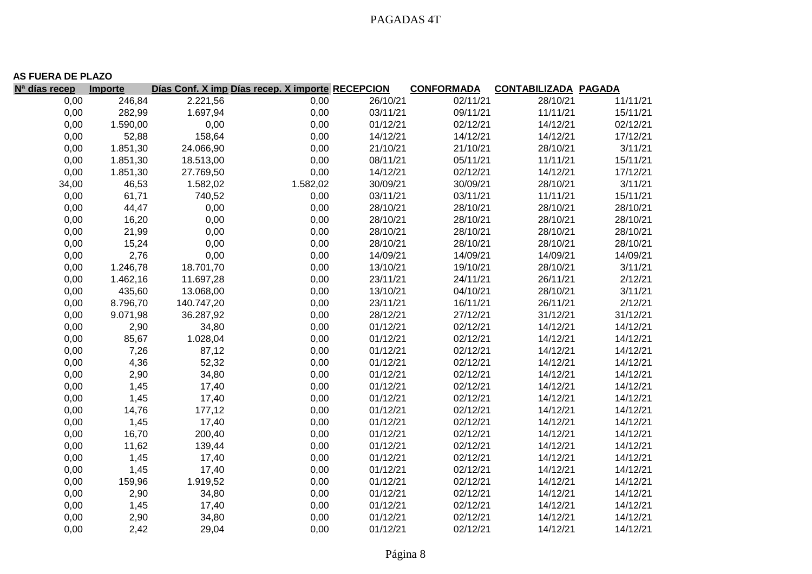|                           | <b>AS FUERA DE PLAZO</b> |            |                                                  |          |                   |                             |          |  |  |  |  |
|---------------------------|--------------------------|------------|--------------------------------------------------|----------|-------------------|-----------------------------|----------|--|--|--|--|
| N <sup>a</sup> días recep | Importe                  |            | Días Conf. X imp Días recep. X importe RECEPCION |          | <b>CONFORMADA</b> | <b>CONTABILIZADA PAGADA</b> |          |  |  |  |  |
| 0,00                      | 246,84                   | 2.221,56   | 0,00                                             | 26/10/21 | 02/11/21          | 28/10/21                    | 11/11/21 |  |  |  |  |
| 0,00                      | 282,99                   | 1.697,94   | 0,00                                             | 03/11/21 | 09/11/21          | 11/11/21                    | 15/11/21 |  |  |  |  |
| 0,00                      | 1.590,00                 | 0,00       | 0,00                                             | 01/12/21 | 02/12/21          | 14/12/21                    | 02/12/21 |  |  |  |  |
| 0,00                      | 52,88                    | 158,64     | 0,00                                             | 14/12/21 | 14/12/21          | 14/12/21                    | 17/12/21 |  |  |  |  |
| 0,00                      | 1.851,30                 | 24.066,90  | 0,00                                             | 21/10/21 | 21/10/21          | 28/10/21                    | 3/11/21  |  |  |  |  |
| 0,00                      | 1.851,30                 | 18.513,00  | 0,00                                             | 08/11/21 | 05/11/21          | 11/11/21                    | 15/11/21 |  |  |  |  |
| 0,00                      | 1.851,30                 | 27.769,50  | 0,00                                             | 14/12/21 | 02/12/21          | 14/12/21                    | 17/12/21 |  |  |  |  |
| 34,00                     | 46,53                    | 1.582,02   | 1.582,02                                         | 30/09/21 | 30/09/21          | 28/10/21                    | 3/11/21  |  |  |  |  |
| 0,00                      | 61,71                    | 740,52     | 0,00                                             | 03/11/21 | 03/11/21          | 11/11/21                    | 15/11/21 |  |  |  |  |
| 0,00                      | 44,47                    | 0,00       | 0,00                                             | 28/10/21 | 28/10/21          | 28/10/21                    | 28/10/21 |  |  |  |  |
| 0,00                      | 16,20                    | 0,00       | 0,00                                             | 28/10/21 | 28/10/21          | 28/10/21                    | 28/10/21 |  |  |  |  |
| 0,00                      | 21,99                    | 0,00       | 0,00                                             | 28/10/21 | 28/10/21          | 28/10/21                    | 28/10/21 |  |  |  |  |
| 0,00                      | 15,24                    | 0,00       | 0,00                                             | 28/10/21 | 28/10/21          | 28/10/21                    | 28/10/21 |  |  |  |  |
| 0,00                      | 2,76                     | 0,00       | 0,00                                             | 14/09/21 | 14/09/21          | 14/09/21                    | 14/09/21 |  |  |  |  |
| 0,00                      | 1.246,78                 | 18.701,70  | 0,00                                             | 13/10/21 | 19/10/21          | 28/10/21                    | 3/11/21  |  |  |  |  |
| 0,00                      | 1.462,16                 | 11.697,28  | 0,00                                             | 23/11/21 | 24/11/21          | 26/11/21                    | 2/12/21  |  |  |  |  |
| 0,00                      | 435,60                   | 13.068,00  | 0,00                                             | 13/10/21 | 04/10/21          | 28/10/21                    | 3/11/21  |  |  |  |  |
| 0,00                      | 8.796,70                 | 140.747,20 | 0,00                                             | 23/11/21 | 16/11/21          | 26/11/21                    | 2/12/21  |  |  |  |  |
| 0,00                      | 9.071,98                 | 36.287,92  | 0,00                                             | 28/12/21 | 27/12/21          | 31/12/21                    | 31/12/21 |  |  |  |  |
| 0,00                      | 2,90                     | 34,80      | 0,00                                             | 01/12/21 | 02/12/21          | 14/12/21                    | 14/12/21 |  |  |  |  |
| 0,00                      | 85,67                    | 1.028,04   | 0,00                                             | 01/12/21 | 02/12/21          | 14/12/21                    | 14/12/21 |  |  |  |  |
| 0,00                      | 7,26                     | 87,12      | 0,00                                             | 01/12/21 | 02/12/21          | 14/12/21                    | 14/12/21 |  |  |  |  |
| 0,00                      | 4,36                     | 52,32      | 0,00                                             | 01/12/21 | 02/12/21          | 14/12/21                    | 14/12/21 |  |  |  |  |
| 0,00                      | 2,90                     | 34,80      | 0,00                                             | 01/12/21 | 02/12/21          | 14/12/21                    | 14/12/21 |  |  |  |  |
| 0,00                      | 1,45                     | 17,40      | 0,00                                             | 01/12/21 | 02/12/21          | 14/12/21                    | 14/12/21 |  |  |  |  |
| 0,00                      | 1,45                     | 17,40      | 0,00                                             | 01/12/21 | 02/12/21          | 14/12/21                    | 14/12/21 |  |  |  |  |
| 0,00                      | 14,76                    | 177,12     | 0,00                                             | 01/12/21 | 02/12/21          | 14/12/21                    | 14/12/21 |  |  |  |  |
| 0,00                      | 1,45                     | 17,40      | 0,00                                             | 01/12/21 | 02/12/21          | 14/12/21                    | 14/12/21 |  |  |  |  |
| 0,00                      | 16,70                    | 200,40     | 0,00                                             | 01/12/21 | 02/12/21          | 14/12/21                    | 14/12/21 |  |  |  |  |
| 0,00                      | 11,62                    | 139,44     | 0,00                                             | 01/12/21 | 02/12/21          | 14/12/21                    | 14/12/21 |  |  |  |  |
| 0,00                      | 1,45                     | 17,40      | 0,00                                             | 01/12/21 | 02/12/21          | 14/12/21                    | 14/12/21 |  |  |  |  |
| 0,00                      | 1,45                     | 17,40      | 0,00                                             | 01/12/21 | 02/12/21          | 14/12/21                    | 14/12/21 |  |  |  |  |
| 0,00                      | 159,96                   | 1.919,52   | 0,00                                             | 01/12/21 | 02/12/21          | 14/12/21                    | 14/12/21 |  |  |  |  |
| 0,00                      | 2,90                     | 34,80      | 0,00                                             | 01/12/21 | 02/12/21          | 14/12/21                    | 14/12/21 |  |  |  |  |
| 0,00                      | 1,45                     | 17,40      | 0,00                                             | 01/12/21 | 02/12/21          | 14/12/21                    | 14/12/21 |  |  |  |  |
| 0,00                      | 2,90                     | 34,80      | 0,00                                             | 01/12/21 | 02/12/21          | 14/12/21                    | 14/12/21 |  |  |  |  |
| 0,00                      | 2,42                     | 29,04      | 0,00                                             | 01/12/21 | 02/12/21          | 14/12/21                    | 14/12/21 |  |  |  |  |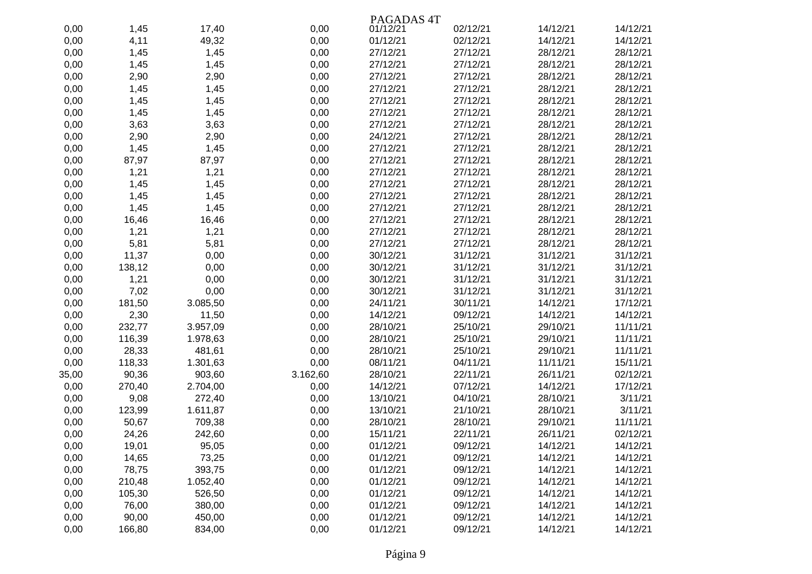|       |        |          |          | PAGADAS <sub>4T</sub> |          |          |          |
|-------|--------|----------|----------|-----------------------|----------|----------|----------|
| 0,00  | 1,45   | 17,40    | 0,00     | 01/12/21              | 02/12/21 | 14/12/21 | 14/12/21 |
| 0,00  | 4,11   | 49,32    | 0,00     | 01/12/21              | 02/12/21 | 14/12/21 | 14/12/21 |
| 0,00  | 1,45   | 1,45     | 0,00     | 27/12/21              | 27/12/21 | 28/12/21 | 28/12/21 |
| 0,00  | 1,45   | 1,45     | 0,00     | 27/12/21              | 27/12/21 | 28/12/21 | 28/12/21 |
| 0,00  | 2,90   | 2,90     | 0,00     | 27/12/21              | 27/12/21 | 28/12/21 | 28/12/21 |
| 0,00  | 1,45   | 1,45     | 0,00     | 27/12/21              | 27/12/21 | 28/12/21 | 28/12/21 |
| 0,00  | 1,45   | 1,45     | 0,00     | 27/12/21              | 27/12/21 | 28/12/21 | 28/12/21 |
| 0,00  | 1,45   | 1,45     | 0,00     | 27/12/21              | 27/12/21 | 28/12/21 | 28/12/21 |
| 0,00  | 3,63   | 3,63     | 0,00     | 27/12/21              | 27/12/21 | 28/12/21 | 28/12/21 |
| 0,00  | 2,90   | 2,90     | 0,00     | 24/12/21              | 27/12/21 | 28/12/21 | 28/12/21 |
| 0,00  | 1,45   | 1,45     | 0,00     | 27/12/21              | 27/12/21 | 28/12/21 | 28/12/21 |
| 0,00  | 87,97  | 87,97    | 0,00     | 27/12/21              | 27/12/21 | 28/12/21 | 28/12/21 |
| 0,00  | 1,21   | 1,21     | 0,00     | 27/12/21              | 27/12/21 | 28/12/21 | 28/12/21 |
| 0,00  | 1,45   | 1,45     | 0,00     | 27/12/21              | 27/12/21 | 28/12/21 | 28/12/21 |
| 0,00  | 1,45   | 1,45     | 0,00     | 27/12/21              | 27/12/21 | 28/12/21 | 28/12/21 |
| 0,00  | 1,45   | 1,45     | 0,00     | 27/12/21              | 27/12/21 | 28/12/21 | 28/12/21 |
| 0,00  | 16,46  | 16,46    | 0,00     | 27/12/21              | 27/12/21 | 28/12/21 | 28/12/21 |
| 0,00  | 1,21   | 1,21     | 0,00     | 27/12/21              | 27/12/21 | 28/12/21 | 28/12/21 |
| 0,00  | 5,81   | 5,81     | 0,00     | 27/12/21              | 27/12/21 | 28/12/21 | 28/12/21 |
| 0,00  | 11,37  | 0,00     | 0,00     | 30/12/21              | 31/12/21 | 31/12/21 | 31/12/21 |
| 0,00  | 138,12 | 0,00     | 0,00     | 30/12/21              | 31/12/21 | 31/12/21 | 31/12/21 |
| 0,00  | 1,21   | 0,00     | 0,00     | 30/12/21              | 31/12/21 | 31/12/21 | 31/12/21 |
| 0,00  | 7,02   | 0,00     | 0,00     | 30/12/21              | 31/12/21 | 31/12/21 | 31/12/21 |
| 0,00  | 181,50 | 3.085,50 | 0,00     | 24/11/21              | 30/11/21 | 14/12/21 | 17/12/21 |
| 0,00  | 2,30   | 11,50    | 0,00     | 14/12/21              | 09/12/21 | 14/12/21 | 14/12/21 |
| 0,00  | 232,77 | 3.957,09 | 0,00     | 28/10/21              | 25/10/21 | 29/10/21 | 11/11/21 |
| 0,00  | 116,39 | 1.978,63 | 0,00     | 28/10/21              | 25/10/21 | 29/10/21 | 11/11/21 |
| 0,00  | 28,33  | 481,61   | 0,00     | 28/10/21              | 25/10/21 | 29/10/21 | 11/11/21 |
| 0,00  | 118,33 | 1.301,63 | 0,00     | 08/11/21              | 04/11/21 | 11/11/21 | 15/11/21 |
| 35,00 | 90,36  | 903,60   | 3.162,60 | 28/10/21              | 22/11/21 | 26/11/21 | 02/12/21 |
| 0,00  | 270,40 | 2.704,00 | 0,00     | 14/12/21              | 07/12/21 | 14/12/21 | 17/12/21 |
| 0,00  | 9,08   | 272,40   | 0,00     | 13/10/21              | 04/10/21 | 28/10/21 | 3/11/21  |
| 0,00  | 123,99 | 1.611,87 | 0,00     | 13/10/21              | 21/10/21 | 28/10/21 | 3/11/21  |
| 0,00  | 50,67  | 709,38   | 0,00     | 28/10/21              | 28/10/21 | 29/10/21 | 11/11/21 |
| 0,00  | 24,26  | 242,60   | 0,00     | 15/11/21              | 22/11/21 | 26/11/21 | 02/12/21 |
| 0,00  | 19,01  | 95,05    | 0,00     | 01/12/21              | 09/12/21 | 14/12/21 | 14/12/21 |
| 0,00  | 14,65  | 73,25    | 0,00     | 01/12/21              | 09/12/21 | 14/12/21 | 14/12/21 |
| 0,00  | 78,75  | 393,75   | 0,00     | 01/12/21              | 09/12/21 | 14/12/21 | 14/12/21 |
| 0,00  | 210,48 | 1.052,40 | 0,00     | 01/12/21              | 09/12/21 | 14/12/21 | 14/12/21 |
| 0,00  | 105,30 | 526,50   | 0,00     | 01/12/21              | 09/12/21 | 14/12/21 | 14/12/21 |
| 0,00  | 76,00  | 380,00   | 0,00     | 01/12/21              | 09/12/21 | 14/12/21 | 14/12/21 |
| 0,00  | 90,00  | 450,00   | 0,00     | 01/12/21              | 09/12/21 | 14/12/21 | 14/12/21 |
| 0,00  | 166,80 | 834,00   | 0,00     | 01/12/21              | 09/12/21 | 14/12/21 | 14/12/21 |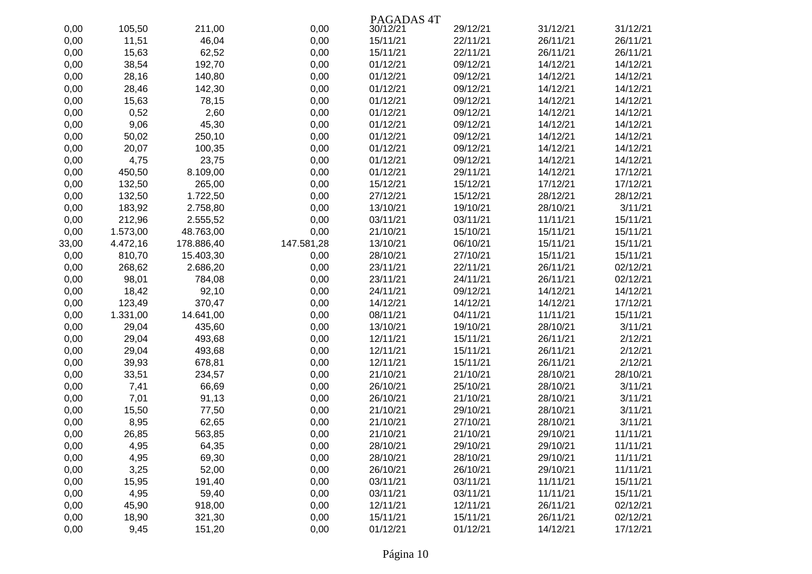|       |          |            |            | PAGADAS <sub>4T</sub> |          |          |          |
|-------|----------|------------|------------|-----------------------|----------|----------|----------|
| 0,00  | 105,50   | 211,00     | 0,00       | 30/12/21              | 29/12/21 | 31/12/21 | 31/12/21 |
| 0,00  | 11,51    | 46,04      | 0,00       | 15/11/21              | 22/11/21 | 26/11/21 | 26/11/21 |
| 0,00  | 15,63    | 62,52      | 0,00       | 15/11/21              | 22/11/21 | 26/11/21 | 26/11/21 |
| 0,00  | 38,54    | 192,70     | 0,00       | 01/12/21              | 09/12/21 | 14/12/21 | 14/12/21 |
| 0,00  | 28,16    | 140,80     | 0,00       | 01/12/21              | 09/12/21 | 14/12/21 | 14/12/21 |
| 0,00  | 28,46    | 142,30     | 0,00       | 01/12/21              | 09/12/21 | 14/12/21 | 14/12/21 |
| 0,00  | 15,63    | 78,15      | 0,00       | 01/12/21              | 09/12/21 | 14/12/21 | 14/12/21 |
| 0,00  | 0,52     | 2,60       | 0,00       | 01/12/21              | 09/12/21 | 14/12/21 | 14/12/21 |
| 0,00  | 9,06     | 45,30      | 0,00       | 01/12/21              | 09/12/21 | 14/12/21 | 14/12/21 |
| 0,00  | 50,02    | 250,10     | 0,00       | 01/12/21              | 09/12/21 | 14/12/21 | 14/12/21 |
| 0,00  | 20,07    | 100,35     | 0,00       | 01/12/21              | 09/12/21 | 14/12/21 | 14/12/21 |
| 0,00  | 4,75     | 23,75      | 0,00       | 01/12/21              | 09/12/21 | 14/12/21 | 14/12/21 |
| 0,00  | 450,50   | 8.109,00   | 0,00       | 01/12/21              | 29/11/21 | 14/12/21 | 17/12/21 |
| 0,00  | 132,50   | 265,00     | 0,00       | 15/12/21              | 15/12/21 | 17/12/21 | 17/12/21 |
| 0,00  | 132,50   | 1.722,50   | 0,00       | 27/12/21              | 15/12/21 | 28/12/21 | 28/12/21 |
| 0,00  | 183,92   | 2.758,80   | 0,00       | 13/10/21              | 19/10/21 | 28/10/21 | 3/11/21  |
| 0,00  | 212,96   | 2.555,52   | 0,00       | 03/11/21              | 03/11/21 | 11/11/21 | 15/11/21 |
| 0,00  | 1.573,00 | 48.763,00  | 0,00       | 21/10/21              | 15/10/21 | 15/11/21 | 15/11/21 |
| 33,00 | 4.472,16 | 178.886,40 | 147.581,28 | 13/10/21              | 06/10/21 | 15/11/21 | 15/11/21 |
| 0,00  | 810,70   | 15.403,30  | 0,00       | 28/10/21              | 27/10/21 | 15/11/21 | 15/11/21 |
| 0,00  | 268,62   | 2.686,20   | 0,00       | 23/11/21              | 22/11/21 | 26/11/21 | 02/12/21 |
| 0,00  | 98,01    | 784,08     | 0,00       | 23/11/21              | 24/11/21 | 26/11/21 | 02/12/21 |
| 0,00  | 18,42    | 92,10      | 0,00       | 24/11/21              | 09/12/21 | 14/12/21 | 14/12/21 |
| 0,00  | 123,49   | 370,47     | 0,00       | 14/12/21              | 14/12/21 | 14/12/21 | 17/12/21 |
| 0,00  | 1.331,00 | 14.641,00  | 0,00       | 08/11/21              | 04/11/21 | 11/11/21 | 15/11/21 |
| 0,00  | 29,04    | 435,60     | 0,00       | 13/10/21              | 19/10/21 | 28/10/21 | 3/11/21  |
| 0,00  | 29,04    | 493,68     | 0,00       | 12/11/21              | 15/11/21 | 26/11/21 | 2/12/21  |
| 0,00  | 29,04    | 493,68     | 0,00       | 12/11/21              | 15/11/21 | 26/11/21 | 2/12/21  |
| 0,00  | 39,93    | 678,81     | 0,00       | 12/11/21              | 15/11/21 | 26/11/21 | 2/12/21  |
| 0,00  | 33,51    | 234,57     | 0,00       | 21/10/21              | 21/10/21 | 28/10/21 | 28/10/21 |
| 0,00  | 7,41     | 66,69      | 0,00       | 26/10/21              | 25/10/21 | 28/10/21 | 3/11/21  |
| 0,00  | 7,01     | 91,13      | 0,00       | 26/10/21              | 21/10/21 | 28/10/21 | 3/11/21  |
| 0,00  | 15,50    | 77,50      | 0,00       | 21/10/21              | 29/10/21 | 28/10/21 | 3/11/21  |
| 0,00  | 8,95     | 62,65      | 0,00       | 21/10/21              | 27/10/21 | 28/10/21 | 3/11/21  |
| 0,00  | 26,85    | 563,85     | 0,00       | 21/10/21              | 21/10/21 | 29/10/21 | 11/11/21 |
| 0,00  | 4,95     | 64,35      | 0,00       | 28/10/21              | 29/10/21 | 29/10/21 | 11/11/21 |
| 0,00  | 4,95     | 69,30      | 0,00       | 28/10/21              | 28/10/21 | 29/10/21 | 11/11/21 |
| 0,00  | 3,25     | 52,00      | 0,00       | 26/10/21              | 26/10/21 | 29/10/21 | 11/11/21 |
| 0,00  | 15,95    | 191,40     | 0,00       | 03/11/21              | 03/11/21 | 11/11/21 | 15/11/21 |
| 0,00  | 4,95     | 59,40      | 0,00       | 03/11/21              | 03/11/21 | 11/11/21 | 15/11/21 |
| 0,00  | 45,90    | 918,00     | 0,00       | 12/11/21              | 12/11/21 | 26/11/21 | 02/12/21 |
| 0,00  | 18,90    | 321,30     | 0,00       | 15/11/21              | 15/11/21 | 26/11/21 | 02/12/21 |
| 0,00  | 9,45     | 151,20     | 0,00       | 01/12/21              | 01/12/21 | 14/12/21 | 17/12/21 |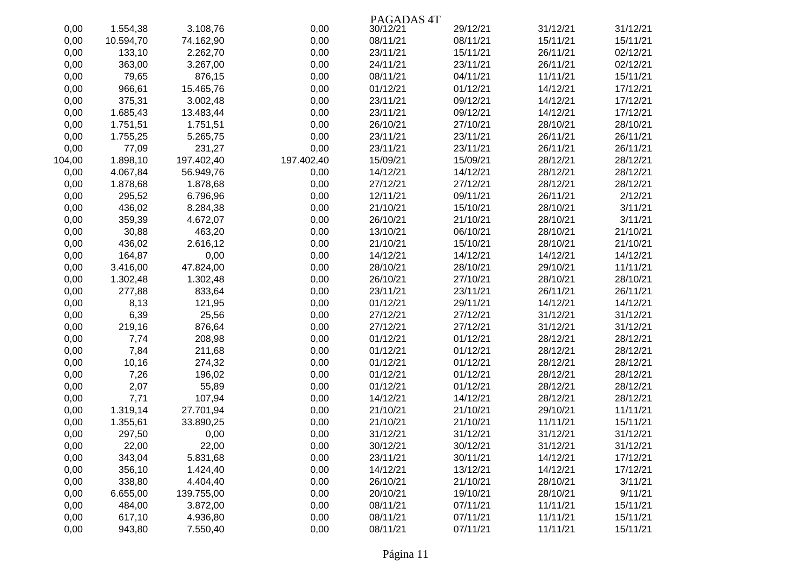|        |           |            |            | PAGADAS <sub>4T</sub> |          |          |          |
|--------|-----------|------------|------------|-----------------------|----------|----------|----------|
| 0,00   | 1.554,38  | 3.108,76   | 0,00       | 30/12/21              | 29/12/21 | 31/12/21 | 31/12/21 |
| 0,00   | 10.594,70 | 74.162,90  | 0,00       | 08/11/21              | 08/11/21 | 15/11/21 | 15/11/21 |
| 0,00   | 133,10    | 2.262,70   | 0,00       | 23/11/21              | 15/11/21 | 26/11/21 | 02/12/21 |
| 0,00   | 363,00    | 3.267,00   | 0,00       | 24/11/21              | 23/11/21 | 26/11/21 | 02/12/21 |
| 0,00   | 79,65     | 876,15     | 0,00       | 08/11/21              | 04/11/21 | 11/11/21 | 15/11/21 |
| 0,00   | 966,61    | 15.465,76  | 0,00       | 01/12/21              | 01/12/21 | 14/12/21 | 17/12/21 |
| 0,00   | 375,31    | 3.002,48   | 0,00       | 23/11/21              | 09/12/21 | 14/12/21 | 17/12/21 |
| 0,00   | 1.685,43  | 13.483,44  | 0,00       | 23/11/21              | 09/12/21 | 14/12/21 | 17/12/21 |
| 0,00   | 1.751,51  | 1.751,51   | 0,00       | 26/10/21              | 27/10/21 | 28/10/21 | 28/10/21 |
| 0,00   | 1.755,25  | 5.265,75   | 0,00       | 23/11/21              | 23/11/21 | 26/11/21 | 26/11/21 |
| 0,00   | 77,09     | 231,27     | 0,00       | 23/11/21              | 23/11/21 | 26/11/21 | 26/11/21 |
| 104,00 | 1.898,10  | 197.402,40 | 197.402,40 | 15/09/21              | 15/09/21 | 28/12/21 | 28/12/21 |
| 0,00   | 4.067,84  | 56.949,76  | 0,00       | 14/12/21              | 14/12/21 | 28/12/21 | 28/12/21 |
| 0,00   | 1.878,68  | 1.878,68   | 0,00       | 27/12/21              | 27/12/21 | 28/12/21 | 28/12/21 |
| 0,00   | 295,52    | 6.796,96   | 0,00       | 12/11/21              | 09/11/21 | 26/11/21 | 2/12/21  |
| 0,00   | 436,02    | 8.284,38   | 0,00       | 21/10/21              | 15/10/21 | 28/10/21 | 3/11/21  |
| 0,00   | 359,39    | 4.672,07   | 0,00       | 26/10/21              | 21/10/21 | 28/10/21 | 3/11/21  |
| 0,00   | 30,88     | 463,20     | 0,00       | 13/10/21              | 06/10/21 | 28/10/21 | 21/10/21 |
| 0,00   | 436,02    | 2.616,12   | 0,00       | 21/10/21              | 15/10/21 | 28/10/21 | 21/10/21 |
| 0,00   | 164,87    | 0,00       | 0,00       | 14/12/21              | 14/12/21 | 14/12/21 | 14/12/21 |
| 0,00   | 3.416,00  | 47.824,00  | 0,00       | 28/10/21              | 28/10/21 | 29/10/21 | 11/11/21 |
| 0,00   | 1.302,48  | 1.302,48   | 0,00       | 26/10/21              | 27/10/21 | 28/10/21 | 28/10/21 |
| 0,00   | 277,88    | 833,64     | 0,00       | 23/11/21              | 23/11/21 | 26/11/21 | 26/11/21 |
| 0,00   | 8,13      | 121,95     | 0,00       | 01/12/21              | 29/11/21 | 14/12/21 | 14/12/21 |
| 0,00   | 6,39      | 25,56      | 0,00       | 27/12/21              | 27/12/21 | 31/12/21 | 31/12/21 |
| 0,00   | 219,16    | 876,64     | 0,00       | 27/12/21              | 27/12/21 | 31/12/21 | 31/12/21 |
| 0,00   | 7,74      | 208,98     | 0,00       | 01/12/21              | 01/12/21 | 28/12/21 | 28/12/21 |
| 0,00   | 7,84      | 211,68     | 0,00       | 01/12/21              | 01/12/21 | 28/12/21 | 28/12/21 |
| 0,00   | 10,16     | 274,32     | 0,00       | 01/12/21              | 01/12/21 | 28/12/21 | 28/12/21 |
| 0,00   | 7,26      | 196,02     | 0,00       | 01/12/21              | 01/12/21 | 28/12/21 | 28/12/21 |
| 0,00   | 2,07      | 55,89      | 0,00       | 01/12/21              | 01/12/21 | 28/12/21 | 28/12/21 |
| 0,00   | 7,71      | 107,94     | 0,00       | 14/12/21              | 14/12/21 | 28/12/21 | 28/12/21 |
| 0,00   | 1.319,14  | 27.701,94  | 0,00       | 21/10/21              | 21/10/21 | 29/10/21 | 11/11/21 |
| 0,00   | 1.355,61  | 33.890,25  | 0,00       | 21/10/21              | 21/10/21 | 11/11/21 | 15/11/21 |
| 0,00   | 297,50    | 0,00       | 0,00       | 31/12/21              | 31/12/21 | 31/12/21 | 31/12/21 |
| 0,00   | 22,00     | 22,00      | 0,00       | 30/12/21              | 30/12/21 | 31/12/21 | 31/12/21 |
| 0,00   | 343,04    | 5.831,68   | 0,00       | 23/11/21              | 30/11/21 | 14/12/21 | 17/12/21 |
| 0,00   | 356,10    | 1.424,40   | 0,00       | 14/12/21              | 13/12/21 | 14/12/21 | 17/12/21 |
| 0,00   | 338,80    | 4.404,40   | 0,00       | 26/10/21              | 21/10/21 | 28/10/21 | 3/11/21  |
| 0,00   | 6.655,00  | 139.755,00 | 0,00       | 20/10/21              | 19/10/21 | 28/10/21 | 9/11/21  |
| 0,00   | 484,00    | 3.872,00   | 0,00       | 08/11/21              | 07/11/21 | 11/11/21 | 15/11/21 |
| 0,00   | 617,10    | 4.936,80   | 0,00       | 08/11/21              | 07/11/21 | 11/11/21 | 15/11/21 |
| 0,00   | 943,80    | 7.550,40   | 0,00       | 08/11/21              | 07/11/21 | 11/11/21 | 15/11/21 |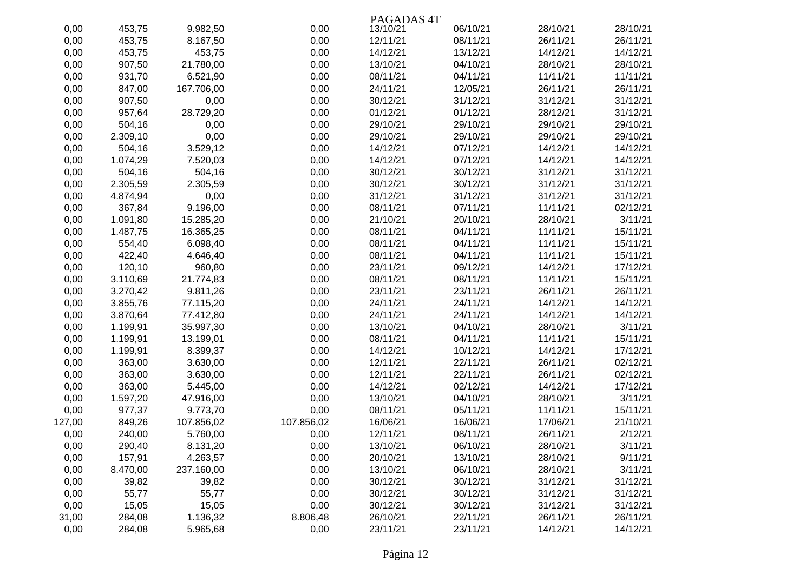|        |          |            |            | PAGADAS <sub>4T</sub> |          |          |          |
|--------|----------|------------|------------|-----------------------|----------|----------|----------|
| 0,00   | 453,75   | 9.982,50   | 0,00       | 13/10/21              | 06/10/21 | 28/10/21 | 28/10/21 |
| 0,00   | 453,75   | 8.167,50   | 0,00       | 12/11/21              | 08/11/21 | 26/11/21 | 26/11/21 |
| 0,00   | 453,75   | 453,75     | 0,00       | 14/12/21              | 13/12/21 | 14/12/21 | 14/12/21 |
| 0,00   | 907,50   | 21.780,00  | 0,00       | 13/10/21              | 04/10/21 | 28/10/21 | 28/10/21 |
| 0,00   | 931,70   | 6.521,90   | 0,00       | 08/11/21              | 04/11/21 | 11/11/21 | 11/11/21 |
| 0,00   | 847,00   | 167.706,00 | 0,00       | 24/11/21              | 12/05/21 | 26/11/21 | 26/11/21 |
| 0,00   | 907,50   | 0,00       | 0,00       | 30/12/21              | 31/12/21 | 31/12/21 | 31/12/21 |
| 0,00   | 957,64   | 28.729,20  | 0,00       | 01/12/21              | 01/12/21 | 28/12/21 | 31/12/21 |
| 0,00   | 504,16   | 0,00       | 0,00       | 29/10/21              | 29/10/21 | 29/10/21 | 29/10/21 |
| 0,00   | 2.309,10 | 0,00       | 0,00       | 29/10/21              | 29/10/21 | 29/10/21 | 29/10/21 |
| 0,00   | 504,16   | 3.529,12   | 0,00       | 14/12/21              | 07/12/21 | 14/12/21 | 14/12/21 |
| 0,00   | 1.074,29 | 7.520,03   | 0,00       | 14/12/21              | 07/12/21 | 14/12/21 | 14/12/21 |
| 0,00   | 504,16   | 504,16     | 0,00       | 30/12/21              | 30/12/21 | 31/12/21 | 31/12/21 |
| 0,00   | 2.305,59 | 2.305,59   | 0,00       | 30/12/21              | 30/12/21 | 31/12/21 | 31/12/21 |
| 0,00   | 4.874,94 | 0,00       | 0,00       | 31/12/21              | 31/12/21 | 31/12/21 | 31/12/21 |
| 0,00   | 367,84   | 9.196,00   | 0,00       | 08/11/21              | 07/11/21 | 11/11/21 | 02/12/21 |
| 0,00   | 1.091,80 | 15.285,20  | 0,00       | 21/10/21              | 20/10/21 | 28/10/21 | 3/11/21  |
| 0,00   | 1.487,75 | 16.365,25  | 0,00       | 08/11/21              | 04/11/21 | 11/11/21 | 15/11/21 |
| 0,00   | 554,40   | 6.098,40   | 0,00       | 08/11/21              | 04/11/21 | 11/11/21 | 15/11/21 |
| 0,00   | 422,40   | 4.646,40   | 0,00       | 08/11/21              | 04/11/21 | 11/11/21 | 15/11/21 |
| 0,00   | 120,10   | 960,80     | 0,00       | 23/11/21              | 09/12/21 | 14/12/21 | 17/12/21 |
| 0,00   | 3.110,69 | 21.774,83  | 0,00       | 08/11/21              | 08/11/21 | 11/11/21 | 15/11/21 |
| 0,00   | 3.270,42 | 9.811,26   | 0,00       | 23/11/21              | 23/11/21 | 26/11/21 | 26/11/21 |
| 0,00   | 3.855,76 | 77.115,20  | 0,00       | 24/11/21              | 24/11/21 | 14/12/21 | 14/12/21 |
| 0,00   | 3.870,64 | 77.412,80  | 0,00       | 24/11/21              | 24/11/21 | 14/12/21 | 14/12/21 |
| 0,00   | 1.199,91 | 35.997,30  | 0,00       | 13/10/21              | 04/10/21 | 28/10/21 | 3/11/21  |
| 0,00   | 1.199,91 | 13.199,01  | 0,00       | 08/11/21              | 04/11/21 | 11/11/21 | 15/11/21 |
| 0,00   | 1.199,91 | 8.399,37   | 0,00       | 14/12/21              | 10/12/21 | 14/12/21 | 17/12/21 |
| 0,00   | 363,00   | 3.630,00   | 0,00       | 12/11/21              | 22/11/21 | 26/11/21 | 02/12/21 |
| 0,00   | 363,00   | 3.630,00   | 0,00       | 12/11/21              | 22/11/21 | 26/11/21 | 02/12/21 |
| 0,00   | 363,00   | 5.445,00   | 0,00       | 14/12/21              | 02/12/21 | 14/12/21 | 17/12/21 |
| 0,00   | 1.597,20 | 47.916,00  | 0,00       | 13/10/21              | 04/10/21 | 28/10/21 | 3/11/21  |
| 0,00   | 977,37   | 9.773,70   | 0,00       | 08/11/21              | 05/11/21 | 11/11/21 | 15/11/21 |
| 127,00 | 849,26   | 107.856,02 | 107.856,02 | 16/06/21              | 16/06/21 | 17/06/21 | 21/10/21 |
| 0,00   | 240,00   | 5.760,00   | 0,00       | 12/11/21              | 08/11/21 | 26/11/21 | 2/12/21  |
| 0,00   | 290,40   | 8.131,20   | 0,00       | 13/10/21              | 06/10/21 | 28/10/21 | 3/11/21  |
| 0,00   | 157,91   | 4.263,57   | 0,00       | 20/10/21              | 13/10/21 | 28/10/21 | 9/11/21  |
| 0,00   | 8.470,00 | 237.160,00 | 0,00       | 13/10/21              | 06/10/21 | 28/10/21 | 3/11/21  |
| 0,00   | 39,82    | 39,82      | 0,00       | 30/12/21              | 30/12/21 | 31/12/21 | 31/12/21 |
| 0,00   | 55,77    | 55,77      | 0,00       | 30/12/21              | 30/12/21 | 31/12/21 | 31/12/21 |
| 0,00   | 15,05    | 15,05      | 0,00       | 30/12/21              | 30/12/21 | 31/12/21 | 31/12/21 |
| 31,00  | 284,08   | 1.136,32   | 8.806,48   | 26/10/21              | 22/11/21 | 26/11/21 | 26/11/21 |
| 0,00   | 284,08   | 5.965,68   | 0,00       | 23/11/21              | 23/11/21 | 14/12/21 | 14/12/21 |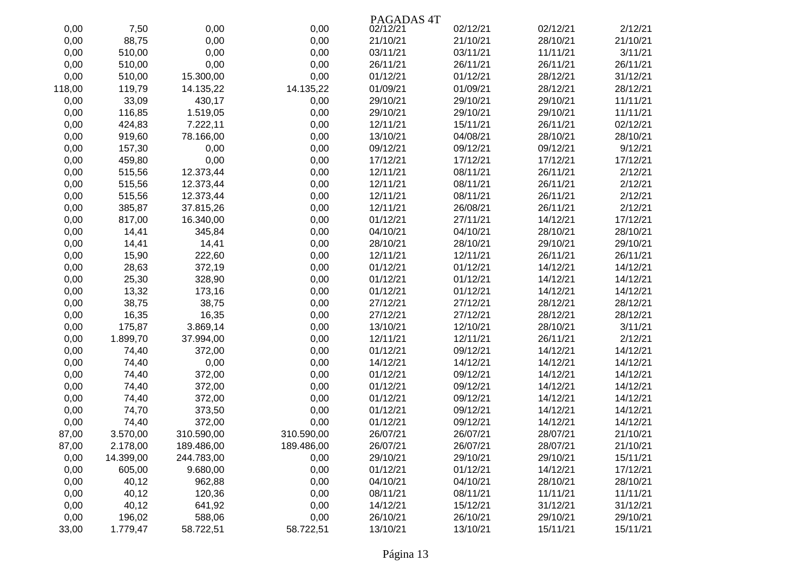|        |           |            |            | PAGADAS <sub>4T</sub> |          |          |          |
|--------|-----------|------------|------------|-----------------------|----------|----------|----------|
| 0,00   | 7,50      | 0,00       | 0,00       | 02/12/21              | 02/12/21 | 02/12/21 | 2/12/21  |
| 0,00   | 88,75     | 0,00       | 0,00       | 21/10/21              | 21/10/21 | 28/10/21 | 21/10/21 |
| 0,00   | 510,00    | 0,00       | 0,00       | 03/11/21              | 03/11/21 | 11/11/21 | 3/11/21  |
| 0,00   | 510,00    | 0,00       | 0,00       | 26/11/21              | 26/11/21 | 26/11/21 | 26/11/21 |
| 0,00   | 510,00    | 15.300,00  | 0,00       | 01/12/21              | 01/12/21 | 28/12/21 | 31/12/21 |
| 118,00 | 119,79    | 14.135,22  | 14.135,22  | 01/09/21              | 01/09/21 | 28/12/21 | 28/12/21 |
| 0,00   | 33,09     | 430,17     | 0,00       | 29/10/21              | 29/10/21 | 29/10/21 | 11/11/21 |
| 0,00   | 116,85    | 1.519,05   | 0,00       | 29/10/21              | 29/10/21 | 29/10/21 | 11/11/21 |
| 0,00   | 424,83    | 7.222,11   | 0,00       | 12/11/21              | 15/11/21 | 26/11/21 | 02/12/21 |
| 0,00   | 919,60    | 78.166,00  | 0,00       | 13/10/21              | 04/08/21 | 28/10/21 | 28/10/21 |
| 0,00   | 157,30    | 0,00       | 0,00       | 09/12/21              | 09/12/21 | 09/12/21 | 9/12/21  |
| 0,00   | 459,80    | 0,00       | 0,00       | 17/12/21              | 17/12/21 | 17/12/21 | 17/12/21 |
| 0,00   | 515,56    | 12.373,44  | 0,00       | 12/11/21              | 08/11/21 | 26/11/21 | 2/12/21  |
| 0,00   | 515,56    | 12.373,44  | 0,00       | 12/11/21              | 08/11/21 | 26/11/21 | 2/12/21  |
| 0,00   | 515,56    | 12.373,44  | 0,00       | 12/11/21              | 08/11/21 | 26/11/21 | 2/12/21  |
| 0,00   | 385,87    | 37.815,26  | 0,00       | 12/11/21              | 26/08/21 | 26/11/21 | 2/12/21  |
| 0,00   | 817,00    | 16.340,00  | 0,00       | 01/12/21              | 27/11/21 | 14/12/21 | 17/12/21 |
| 0,00   | 14,41     | 345,84     | 0,00       | 04/10/21              | 04/10/21 | 28/10/21 | 28/10/21 |
| 0,00   | 14,41     | 14,41      | 0,00       | 28/10/21              | 28/10/21 | 29/10/21 | 29/10/21 |
| 0,00   | 15,90     | 222,60     | 0,00       | 12/11/21              | 12/11/21 | 26/11/21 | 26/11/21 |
| 0,00   | 28,63     | 372,19     | 0,00       | 01/12/21              | 01/12/21 | 14/12/21 | 14/12/21 |
| 0,00   | 25,30     | 328,90     | 0,00       | 01/12/21              | 01/12/21 | 14/12/21 | 14/12/21 |
| 0,00   | 13,32     | 173,16     | 0,00       | 01/12/21              | 01/12/21 | 14/12/21 | 14/12/21 |
| 0,00   | 38,75     | 38,75      | 0,00       | 27/12/21              | 27/12/21 | 28/12/21 | 28/12/21 |
| 0,00   | 16,35     | 16,35      | 0,00       | 27/12/21              | 27/12/21 | 28/12/21 | 28/12/21 |
| 0,00   | 175,87    | 3.869,14   | 0,00       | 13/10/21              | 12/10/21 | 28/10/21 | 3/11/21  |
| 0,00   | 1.899,70  | 37.994,00  | 0,00       | 12/11/21              | 12/11/21 | 26/11/21 | 2/12/21  |
| 0,00   | 74,40     | 372,00     | 0,00       | 01/12/21              | 09/12/21 | 14/12/21 | 14/12/21 |
| 0,00   | 74,40     | 0,00       | 0,00       | 14/12/21              | 14/12/21 | 14/12/21 | 14/12/21 |
| 0,00   | 74,40     | 372,00     | 0,00       | 01/12/21              | 09/12/21 | 14/12/21 | 14/12/21 |
| 0,00   | 74,40     | 372,00     | 0,00       | 01/12/21              | 09/12/21 | 14/12/21 | 14/12/21 |
| 0,00   | 74,40     | 372,00     | 0,00       | 01/12/21              | 09/12/21 | 14/12/21 | 14/12/21 |
| 0,00   | 74,70     | 373,50     | 0,00       | 01/12/21              | 09/12/21 | 14/12/21 | 14/12/21 |
| 0,00   | 74,40     | 372,00     | 0,00       | 01/12/21              | 09/12/21 | 14/12/21 | 14/12/21 |
| 87,00  | 3.570,00  | 310.590,00 | 310.590,00 | 26/07/21              | 26/07/21 | 28/07/21 | 21/10/21 |
| 87,00  | 2.178,00  | 189.486,00 | 189.486,00 | 26/07/21              | 26/07/21 | 28/07/21 | 21/10/21 |
| 0,00   | 14.399,00 | 244.783,00 | 0,00       | 29/10/21              | 29/10/21 | 29/10/21 | 15/11/21 |
| 0,00   | 605,00    | 9.680,00   | 0,00       | 01/12/21              | 01/12/21 | 14/12/21 | 17/12/21 |
| 0,00   | 40,12     | 962,88     | 0,00       | 04/10/21              | 04/10/21 | 28/10/21 | 28/10/21 |
| 0,00   | 40,12     | 120,36     | 0,00       | 08/11/21              | 08/11/21 | 11/11/21 | 11/11/21 |
| 0,00   | 40,12     | 641,92     | 0,00       | 14/12/21              | 15/12/21 | 31/12/21 | 31/12/21 |
| 0,00   | 196,02    | 588,06     | 0,00       | 26/10/21              | 26/10/21 | 29/10/21 | 29/10/21 |
| 33,00  | 1.779,47  | 58.722,51  | 58.722,51  | 13/10/21              | 13/10/21 | 15/11/21 | 15/11/21 |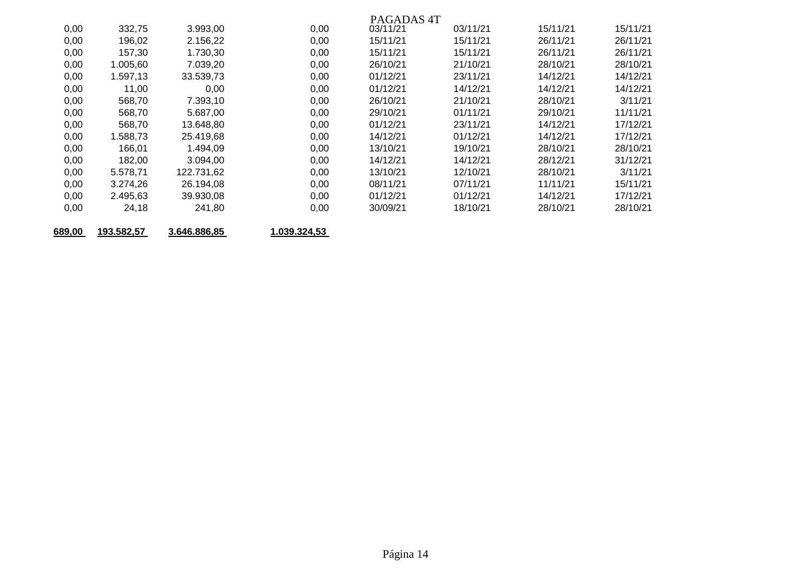|      |          |            |      | PAGADAS <sub>4T</sub> |          |          |          |
|------|----------|------------|------|-----------------------|----------|----------|----------|
| 0,00 | 332,75   | 3.993,00   | 0,00 | 03/11/21              | 03/11/21 | 15/11/21 | 15/11/21 |
| 0,00 | 196,02   | 2.156,22   | 0,00 | 15/11/21              | 15/11/21 | 26/11/21 | 26/11/21 |
| 0,00 | 157,30   | 1.730,30   | 0,00 | 15/11/21              | 15/11/21 | 26/11/21 | 26/11/21 |
| 0,00 | 1.005,60 | 7.039,20   | 0,00 | 26/10/21              | 21/10/21 | 28/10/21 | 28/10/21 |
| 0,00 | 1.597,13 | 33.539,73  | 0,00 | 01/12/21              | 23/11/21 | 14/12/21 | 14/12/21 |
| 0,00 | 11,00    | 0,00       | 0,00 | 01/12/21              | 14/12/21 | 14/12/21 | 14/12/21 |
| 0,00 | 568,70   | 7.393,10   | 0,00 | 26/10/21              | 21/10/21 | 28/10/21 | 3/11/21  |
| 0,00 | 568,70   | 5.687,00   | 0,00 | 29/10/21              | 01/11/21 | 29/10/21 | 11/11/21 |
| 0,00 | 568,70   | 13.648,80  | 0,00 | 01/12/21              | 23/11/21 | 14/12/21 | 17/12/21 |
| 0,00 | 1.588,73 | 25.419,68  | 0,00 | 14/12/21              | 01/12/21 | 14/12/21 | 17/12/21 |
| 0,00 | 166,01   | 1.494,09   | 0,00 | 13/10/21              | 19/10/21 | 28/10/21 | 28/10/21 |
| 0,00 | 182,00   | 3.094,00   | 0,00 | 14/12/21              | 14/12/21 | 28/12/21 | 31/12/21 |
| 0,00 | 5.578.71 | 122.731,62 | 0,00 | 13/10/21              | 12/10/21 | 28/10/21 | 3/11/21  |
| 0,00 | 3.274,26 | 26.194,08  | 0,00 | 08/11/21              | 07/11/21 | 11/11/21 | 15/11/21 |
| 0,00 | 2.495.63 | 39.930,08  | 0,00 | 01/12/21              | 01/12/21 | 14/12/21 | 17/12/21 |
| 0,00 | 24,18    | 241,80     | 0,00 | 30/09/21              | 18/10/21 | 28/10/21 | 28/10/21 |
|      |          |            |      |                       |          |          |          |

**689,00 193.582,57 3.646.886,85 1.039.324,53** 

Página 14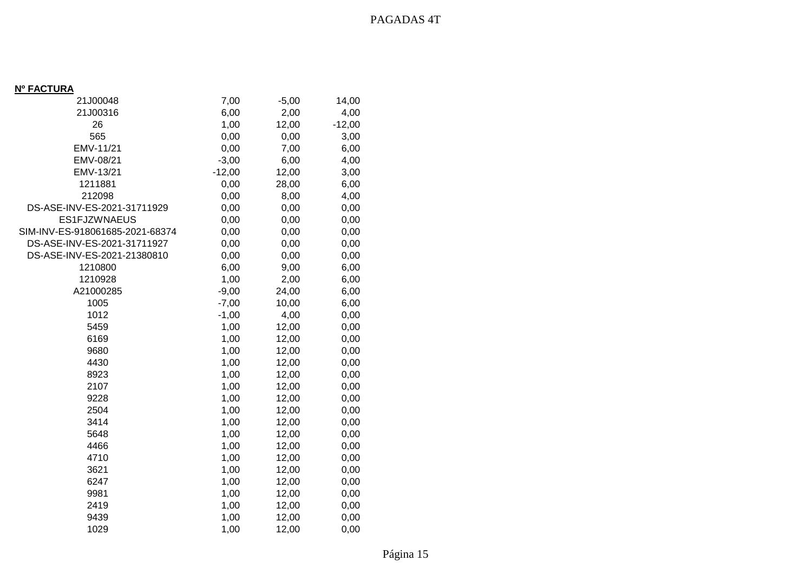## **Nº FACTURA**

| 21J00048                        | 7,00     | $-5,00$ | 14,00    |
|---------------------------------|----------|---------|----------|
| 21J00316                        | 6,00     | 2,00    | 4,00     |
| 26                              | 1,00     | 12,00   | $-12,00$ |
| 565                             | 0,00     | 0,00    | 3,00     |
| EMV-11/21                       | 0,00     | 7,00    | 6,00     |
| EMV-08/21                       | $-3,00$  | 6,00    | 4,00     |
| EMV-13/21                       | $-12,00$ | 12,00   | 3,00     |
| 1211881                         | 0,00     | 28,00   | 6,00     |
| 212098                          | 0,00     | 8,00    | 4,00     |
| DS-ASE-INV-ES-2021-31711929     | 0,00     | 0,00    | 0,00     |
| ES1FJZWNAEUS                    | 0,00     | 0,00    | 0,00     |
| SIM-INV-ES-918061685-2021-68374 | 0,00     | 0,00    | 0,00     |
| DS-ASE-INV-ES-2021-31711927     | 0,00     | 0,00    | 0,00     |
| DS-ASE-INV-ES-2021-21380810     | 0,00     | 0,00    | 0,00     |
| 1210800                         | 6,00     | 9,00    | 6,00     |
| 1210928                         | 1,00     | 2,00    | 6,00     |
| A21000285                       | $-9,00$  | 24,00   | 6,00     |
| 1005                            | $-7,00$  | 10,00   | 6,00     |
| 1012                            | $-1,00$  | 4,00    | 0,00     |
| 5459                            | 1,00     | 12,00   | 0,00     |
| 6169                            | 1,00     | 12,00   | 0,00     |
| 9680                            | 1,00     | 12,00   | 0,00     |
| 4430                            | 1,00     | 12,00   | 0,00     |
| 8923                            | 1,00     | 12,00   | 0,00     |
| 2107                            | 1,00     | 12,00   | 0,00     |
| 9228                            | 1,00     | 12,00   | 0,00     |
| 2504                            | 1,00     | 12,00   | 0,00     |
| 3414                            | 1,00     | 12,00   | 0,00     |
| 5648                            | 1,00     | 12,00   | 0,00     |
| 4466                            | 1,00     | 12,00   | 0,00     |
| 4710                            | 1,00     | 12,00   | 0,00     |
| 3621                            | 1,00     | 12,00   | 0,00     |
| 6247                            | 1,00     | 12,00   | 0,00     |
| 9981                            | 1,00     | 12,00   | 0,00     |
| 2419                            | 1,00     | 12,00   | 0,00     |
| 9439                            | 1,00     | 12,00   | 0,00     |
| 1029                            | 1,00     | 12,00   | 0,00     |
|                                 |          |         |          |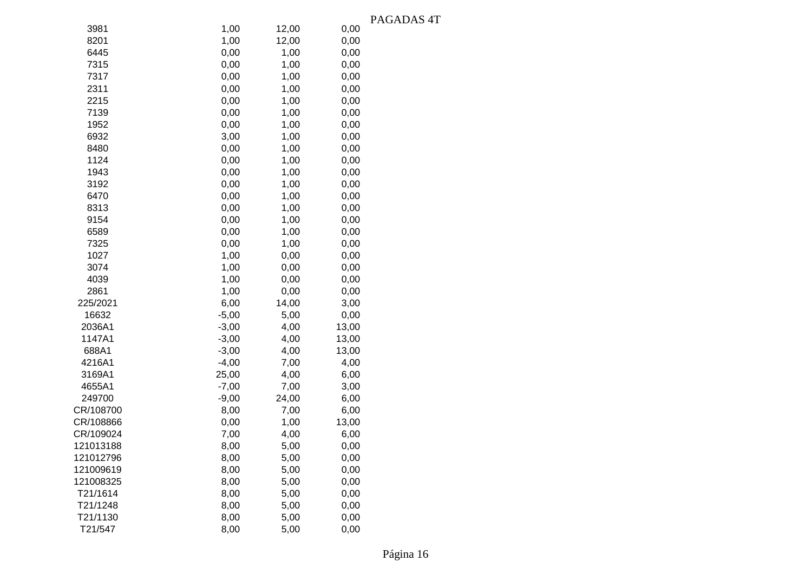|           |         |       |       | PAGADAS <sub>4T</sub> |
|-----------|---------|-------|-------|-----------------------|
| 3981      | 1,00    | 12,00 | 0,00  |                       |
| 8201      | 1,00    | 12,00 | 0,00  |                       |
| 6445      | 0,00    | 1,00  | 0,00  |                       |
| 7315      | 0,00    | 1,00  | 0,00  |                       |
| 7317      | 0,00    | 1,00  | 0,00  |                       |
| 2311      | 0,00    | 1,00  | 0,00  |                       |
| 2215      | 0,00    | 1,00  | 0,00  |                       |
| 7139      | 0,00    | 1,00  | 0,00  |                       |
| 1952      | 0,00    | 1,00  | 0,00  |                       |
| 6932      | 3,00    | 1,00  | 0,00  |                       |
| 8480      | 0,00    | 1,00  | 0,00  |                       |
| 1124      | 0,00    | 1,00  | 0,00  |                       |
| 1943      | 0,00    | 1,00  | 0,00  |                       |
| 3192      | 0,00    | 1,00  | 0,00  |                       |
| 6470      | 0,00    | 1,00  | 0,00  |                       |
| 8313      | 0,00    | 1,00  | 0,00  |                       |
| 9154      | 0,00    | 1,00  | 0,00  |                       |
| 6589      | 0,00    | 1,00  | 0,00  |                       |
| 7325      | 0,00    | 1,00  | 0,00  |                       |
| 1027      | 1,00    | 0,00  | 0,00  |                       |
| 3074      | 1,00    | 0,00  | 0,00  |                       |
| 4039      | 1,00    | 0,00  | 0,00  |                       |
| 2861      | 1,00    | 0,00  | 0,00  |                       |
| 225/2021  | 6,00    | 14,00 | 3,00  |                       |
| 16632     | $-5,00$ | 5,00  | 0,00  |                       |
| 2036A1    | $-3,00$ | 4,00  | 13,00 |                       |
| 1147A1    | $-3,00$ | 4,00  | 13,00 |                       |
| 688A1     | $-3,00$ | 4,00  | 13,00 |                       |
| 4216A1    | $-4,00$ | 7,00  | 4,00  |                       |
| 3169A1    | 25,00   | 4,00  | 6,00  |                       |
| 4655A1    | $-7,00$ | 7,00  | 3,00  |                       |
| 249700    | $-9,00$ | 24,00 | 6,00  |                       |
| CR/108700 | 8,00    | 7,00  | 6,00  |                       |
| CR/108866 | 0,00    | 1,00  | 13,00 |                       |
| CR/109024 | 7,00    | 4,00  | 6,00  |                       |
| 121013188 | 8,00    | 5,00  | 0,00  |                       |
| 121012796 | 8,00    | 5,00  | 0,00  |                       |
| 121009619 | 8,00    | 5,00  | 0,00  |                       |
| 121008325 | 8,00    | 5,00  | 0,00  |                       |
| T21/1614  | 8,00    | 5,00  | 0,00  |                       |
| T21/1248  | 8,00    | 5,00  | 0,00  |                       |
| T21/1130  | 8,00    | 5,00  | 0,00  |                       |
| T21/547   | 8,00    | 5,00  | 0,00  |                       |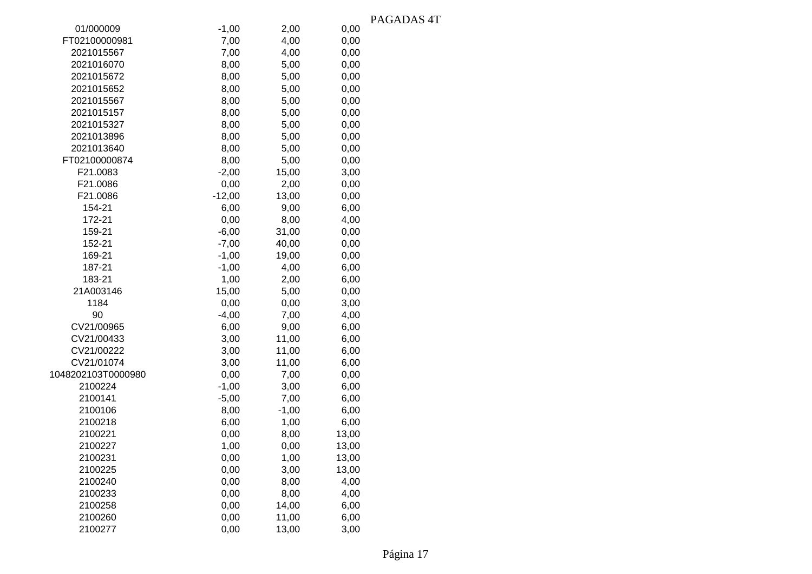|                                            | <b>TAC</b> |
|--------------------------------------------|------------|
| 01/000009<br>$-1,00$<br>2,00<br>0,00       |            |
| FT02100000981<br>7,00<br>4,00<br>0,00      |            |
| 7,00<br>0,00<br>2021015567<br>4,00         |            |
| 2021016070<br>8,00<br>5,00<br>0,00         |            |
| 2021015672<br>8,00<br>5,00<br>0,00         |            |
| 8,00<br>0,00<br>2021015652<br>5,00         |            |
| 0,00<br>2021015567<br>8,00<br>5,00         |            |
| 2021015157<br>8,00<br>5,00<br>0,00         |            |
| 2021015327<br>8,00<br>5,00<br>0,00         |            |
| 0,00<br>2021013896<br>8,00<br>5,00         |            |
| 2021013640<br>8,00<br>5,00<br>0,00         |            |
| FT02100000874<br>8,00<br>5,00<br>0,00      |            |
| F21.0083<br>$-2,00$<br>15,00<br>3,00       |            |
| F21.0086<br>0,00<br>2,00<br>0,00           |            |
| F21.0086<br>$-12,00$<br>13,00<br>0,00      |            |
| 6,00<br>154-21<br>6,00<br>9,00             |            |
| 172-21<br>0,00<br>8,00<br>4,00             |            |
| $-6,00$<br>31,00<br>0,00<br>159-21         |            |
| $-7,00$<br>40,00<br>0,00<br>152-21         |            |
| $-1,00$<br>19,00<br>0,00<br>169-21         |            |
| $-1,00$<br>187-21<br>4,00<br>6,00          |            |
| 1,00<br>183-21<br>2,00<br>6,00             |            |
| 21A003146<br>15,00<br>5,00<br>0,00         |            |
| 1184<br>0,00<br>0,00<br>3,00               |            |
| $-4,00$<br>7,00<br>90<br>4,00              |            |
| CV21/00965<br>6,00<br>9,00<br>6,00         |            |
| CV21/00433<br>11,00<br>3,00<br>6,00        |            |
| CV21/00222<br>3,00<br>11,00<br>6,00        |            |
| CV21/01074<br>11,00<br>6,00<br>3,00        |            |
| 1048202103T0000980<br>0,00<br>7,00<br>0,00 |            |
| 2100224<br>$-1,00$<br>3,00<br>6,00         |            |
| 2100141<br>$-5,00$<br>7,00<br>6,00         |            |
| 2100106<br>8,00<br>$-1,00$<br>6,00         |            |
| 2100218<br>6,00<br>1,00<br>6,00            |            |
| 2100221<br>0,00<br>8,00<br>13,00           |            |
| 2100227<br>1,00<br>0,00<br>13,00           |            |
| 2100231<br>0,00<br>1,00<br>13,00           |            |
| 2100225<br>0,00<br>13,00<br>3,00           |            |
| 0,00<br>2100240<br>8,00<br>4,00            |            |
| 2100233<br>0,00<br>4,00<br>8,00            |            |
| 0,00<br>14,00<br>6,00<br>2100258           |            |
| 2100260<br>0,00<br>11,00<br>6,00           |            |
| 2100277<br>0,00<br>13,00<br>3,00           |            |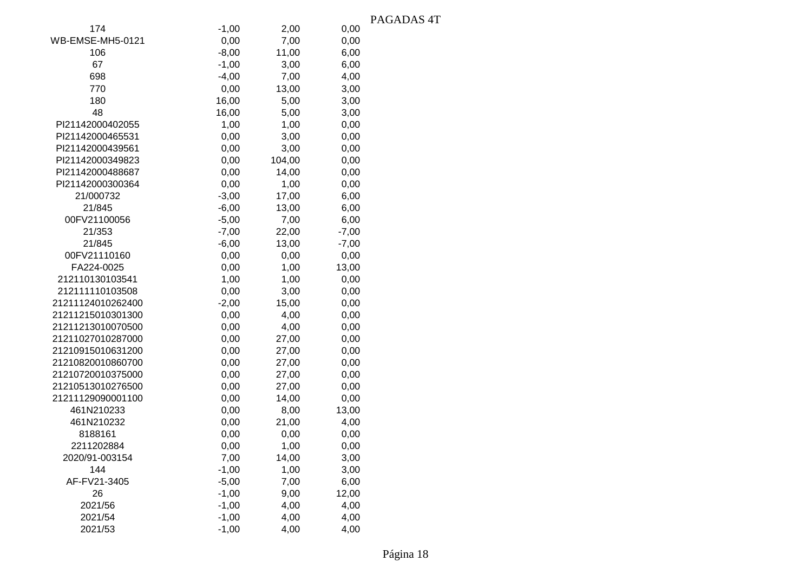|                         |         |        |         | PAGADAS 4T |
|-------------------------|---------|--------|---------|------------|
| 174                     | $-1,00$ | 2,00   | 0,00    |            |
| <b>WB-EMSE-MH5-0121</b> | 0,00    | 7,00   | 0,00    |            |
| 106                     | $-8,00$ | 11,00  | 6,00    |            |
| 67                      | $-1,00$ | 3,00   | 6,00    |            |
| 698                     | $-4,00$ | 7,00   | 4,00    |            |
| 770                     | 0,00    | 13,00  | 3,00    |            |
| 180                     | 16,00   | 5,00   | 3,00    |            |
| 48                      | 16,00   | 5,00   | 3,00    |            |
| PI21142000402055        | 1,00    | 1,00   | 0,00    |            |
| PI21142000465531        | 0,00    | 3,00   | 0,00    |            |
| PI21142000439561        | 0,00    | 3,00   | 0,00    |            |
| PI21142000349823        | 0,00    | 104,00 | 0,00    |            |
| PI21142000488687        | 0,00    | 14,00  | 0,00    |            |
| PI21142000300364        | 0,00    | 1,00   | 0,00    |            |
| 21/000732               | $-3,00$ | 17,00  | 6,00    |            |
| 21/845                  | $-6,00$ | 13,00  | 6,00    |            |
| 00FV21100056            | $-5,00$ | 7,00   | 6,00    |            |
| 21/353                  | $-7,00$ | 22,00  | $-7,00$ |            |
| 21/845                  | $-6,00$ | 13,00  | $-7,00$ |            |
| 00FV21110160            | 0,00    | 0,00   | 0,00    |            |
| FA224-0025              | 0,00    | 1,00   | 13,00   |            |
| 212110130103541         | 1,00    | 1,00   | 0,00    |            |
| 212111110103508         | 0,00    | 3,00   | 0,00    |            |
| 21211124010262400       | $-2,00$ | 15,00  | 0,00    |            |
| 21211215010301300       | 0,00    | 4,00   | 0,00    |            |
| 21211213010070500       | 0,00    | 4,00   | 0,00    |            |
| 21211027010287000       | 0,00    | 27,00  | 0,00    |            |
| 21210915010631200       | 0,00    | 27,00  | 0,00    |            |
| 21210820010860700       | 0,00    | 27,00  | 0,00    |            |
| 21210720010375000       | 0,00    | 27,00  | 0,00    |            |
| 21210513010276500       | 0,00    | 27,00  | 0,00    |            |
| 21211129090001100       | 0,00    | 14,00  | 0,00    |            |
| 461N210233              | 0,00    | 8,00   | 13,00   |            |
| 461N210232              | 0,00    | 21,00  | 4,00    |            |
| 8188161                 | 0,00    | 0,00   | 0,00    |            |
| 2211202884              | 0,00    | 1,00   | 0,00    |            |
| 2020/91-003154          | 7,00    | 14,00  | 3,00    |            |
| 144                     | $-1,00$ | 1,00   | 3,00    |            |
| AF-FV21-3405            | $-5,00$ | 7,00   | 6,00    |            |
| 26                      | $-1,00$ | 9,00   | 12,00   |            |
| 2021/56                 | $-1,00$ | 4,00   | 4,00    |            |
| 2021/54                 | $-1,00$ | 4,00   | 4,00    |            |
| 2021/53                 | $-1,00$ | 4,00   | 4,00    |            |

Página 18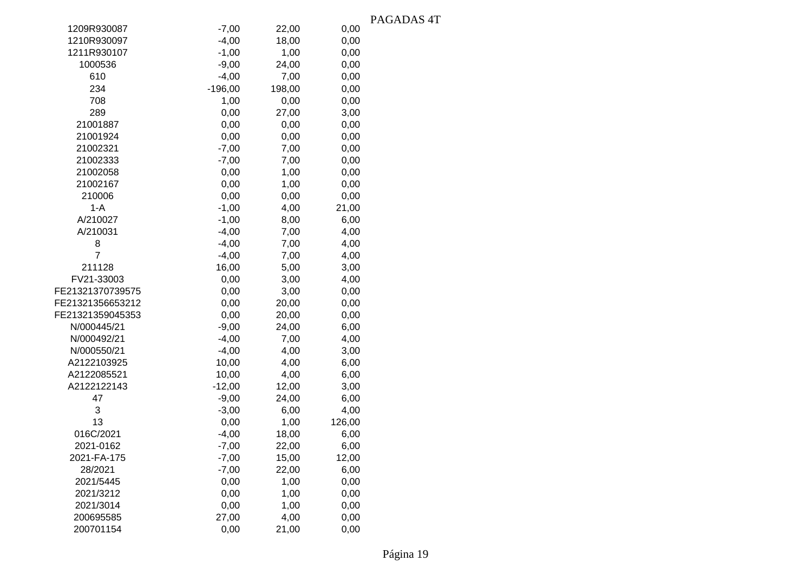|                  |           |        |        | r Ay |
|------------------|-----------|--------|--------|------|
| 1209R930087      | $-7,00$   | 22,00  | 0,00   |      |
| 1210R930097      | $-4,00$   | 18,00  | 0,00   |      |
| 1211R930107      | $-1,00$   | 1,00   | 0,00   |      |
| 1000536          | $-9,00$   | 24,00  | 0,00   |      |
| 610              | $-4,00$   | 7,00   | 0,00   |      |
| 234              | $-196,00$ | 198,00 | 0,00   |      |
| 708              | 1,00      | 0,00   | 0,00   |      |
| 289              | 0,00      | 27,00  | 3,00   |      |
| 21001887         | 0,00      | 0,00   | 0,00   |      |
| 21001924         | 0,00      | 0,00   | 0,00   |      |
| 21002321         | $-7,00$   | 7,00   | 0,00   |      |
| 21002333         | $-7,00$   | 7,00   | 0,00   |      |
| 21002058         | 0,00      | 1,00   | 0,00   |      |
| 21002167         | 0,00      | 1,00   | 0,00   |      |
| 210006           | 0,00      | 0,00   | 0,00   |      |
| $1-A$            | $-1,00$   | 4,00   | 21,00  |      |
| A/210027         | $-1,00$   | 8,00   | 6,00   |      |
| A/210031         | $-4,00$   | 7,00   | 4,00   |      |
| 8                | $-4,00$   | 7,00   | 4,00   |      |
| $\overline{7}$   | $-4,00$   | 7,00   | 4,00   |      |
| 211128           | 16,00     | 5,00   | 3,00   |      |
| FV21-33003       | 0,00      | 3,00   | 4,00   |      |
| FE21321370739575 | 0,00      | 3,00   | 0,00   |      |
| FE21321356653212 | 0,00      | 20,00  | 0,00   |      |
| FE21321359045353 | 0,00      | 20,00  | 0,00   |      |
| N/000445/21      | $-9,00$   | 24,00  | 6,00   |      |
| N/000492/21      | $-4,00$   | 7,00   | 4,00   |      |
| N/000550/21      | $-4,00$   | 4,00   | 3,00   |      |
| A2122103925      | 10,00     | 4,00   | 6,00   |      |
| A2122085521      | 10,00     | 4,00   | 6,00   |      |
| A2122122143      | $-12,00$  | 12,00  | 3,00   |      |
| 47               | $-9,00$   | 24,00  | 6,00   |      |
| 3                | $-3,00$   | 6,00   | 4,00   |      |
| 13               | 0,00      | 1,00   | 126,00 |      |
| 016C/2021        | $-4,00$   | 18,00  | 6,00   |      |
| 2021-0162        | $-7,00$   | 22,00  | 6,00   |      |
| 2021-FA-175      | $-7,00$   | 15,00  | 12,00  |      |
| 28/2021          | $-7,00$   | 22,00  | 6,00   |      |
| 2021/5445        | 0,00      | 1,00   | 0,00   |      |
| 2021/3212        | 0,00      | 1,00   | 0,00   |      |
| 2021/3014        | 0,00      | 1,00   | 0,00   |      |
| 200695585        | 27,00     | 4,00   | 0,00   |      |
| 200701154        | 0,00      | 21,00  | 0,00   |      |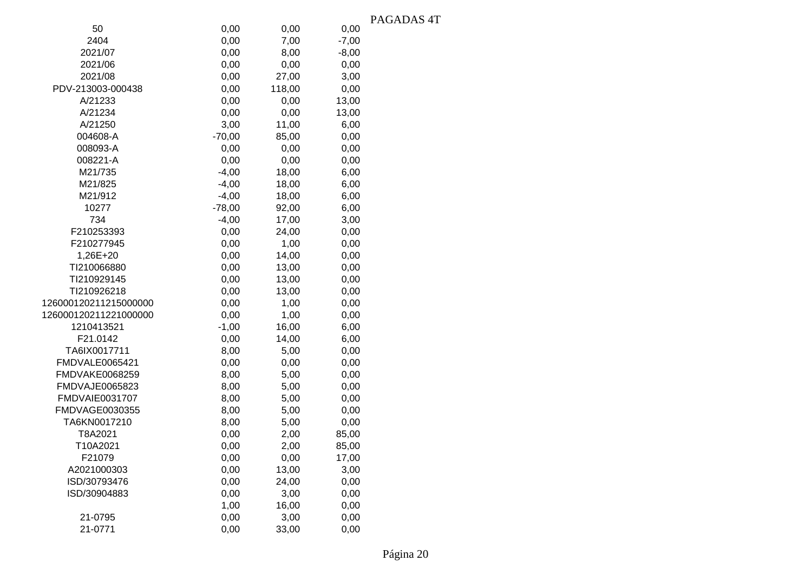|                       |          |        |         | PAGADAS <sub>4T</sub> |
|-----------------------|----------|--------|---------|-----------------------|
| 50                    | 0,00     | 0,00   | 0,00    |                       |
| 2404                  | 0,00     | 7,00   | $-7,00$ |                       |
| 2021/07               | 0,00     | 8,00   | $-8,00$ |                       |
| 2021/06               | 0,00     | 0,00   | 0,00    |                       |
| 2021/08               | 0,00     | 27,00  | 3,00    |                       |
| PDV-213003-000438     | 0,00     | 118,00 | 0,00    |                       |
| A/21233               | 0,00     | 0,00   | 13,00   |                       |
| A/21234               | 0,00     | 0,00   | 13,00   |                       |
| A/21250               | 3,00     | 11,00  | 6,00    |                       |
| 004608-A              | $-70,00$ | 85,00  | 0,00    |                       |
| 008093-A              | 0,00     | 0,00   | 0,00    |                       |
| 008221-A              | 0,00     | 0,00   | 0,00    |                       |
| M21/735               | $-4,00$  | 18,00  | 6,00    |                       |
| M21/825               | $-4,00$  | 18,00  | 6,00    |                       |
| M21/912               | $-4,00$  | 18,00  | 6,00    |                       |
| 10277                 | $-78,00$ | 92,00  | 6,00    |                       |
| 734                   | $-4,00$  | 17,00  | 3,00    |                       |
| F210253393            | 0,00     | 24,00  | 0,00    |                       |
| F210277945            | 0,00     | 1,00   | 0,00    |                       |
| 1,26E+20              | 0,00     | 14,00  | 0,00    |                       |
| TI210066880           | 0,00     | 13,00  | 0,00    |                       |
| TI210929145           | 0,00     | 13,00  | 0,00    |                       |
| TI210926218           | 0,00     | 13,00  | 0,00    |                       |
| 126000120211215000000 | 0,00     | 1,00   | 0,00    |                       |
| 126000120211221000000 | 0,00     | 1,00   | 0,00    |                       |
| 1210413521            | $-1,00$  | 16,00  | 6,00    |                       |
| F21.0142              | 0,00     | 14,00  | 6,00    |                       |
| TA6IX0017711          | 8,00     | 5,00   | 0,00    |                       |
| FMDVALE0065421        | 0,00     | 0,00   | 0,00    |                       |
| FMDVAKE0068259        | 8,00     | 5,00   | 0,00    |                       |
| FMDVAJE0065823        | 8,00     | 5,00   | 0,00    |                       |
| FMDVAIE0031707        | 8,00     | 5,00   | 0,00    |                       |
| FMDVAGE0030355        | 8,00     | 5,00   | 0,00    |                       |
| TA6KN0017210          | 8,00     | 5,00   | 0,00    |                       |
| T8A2021               | 0,00     | 2,00   | 85,00   |                       |
| T10A2021              | 0,00     | 2,00   | 85,00   |                       |
| F21079                | 0,00     | 0,00   | 17,00   |                       |
| A2021000303           | 0,00     | 13,00  | 3,00    |                       |
| ISD/30793476          | 0,00     | 24,00  | 0,00    |                       |
| ISD/30904883          | 0,00     | 3,00   | 0,00    |                       |
|                       | 1,00     | 16,00  | 0,00    |                       |
| 21-0795               | 0,00     | 3,00   | 0,00    |                       |
| 21-0771               | 0,00     | 33,00  | 0,00    |                       |
|                       |          |        |         |                       |